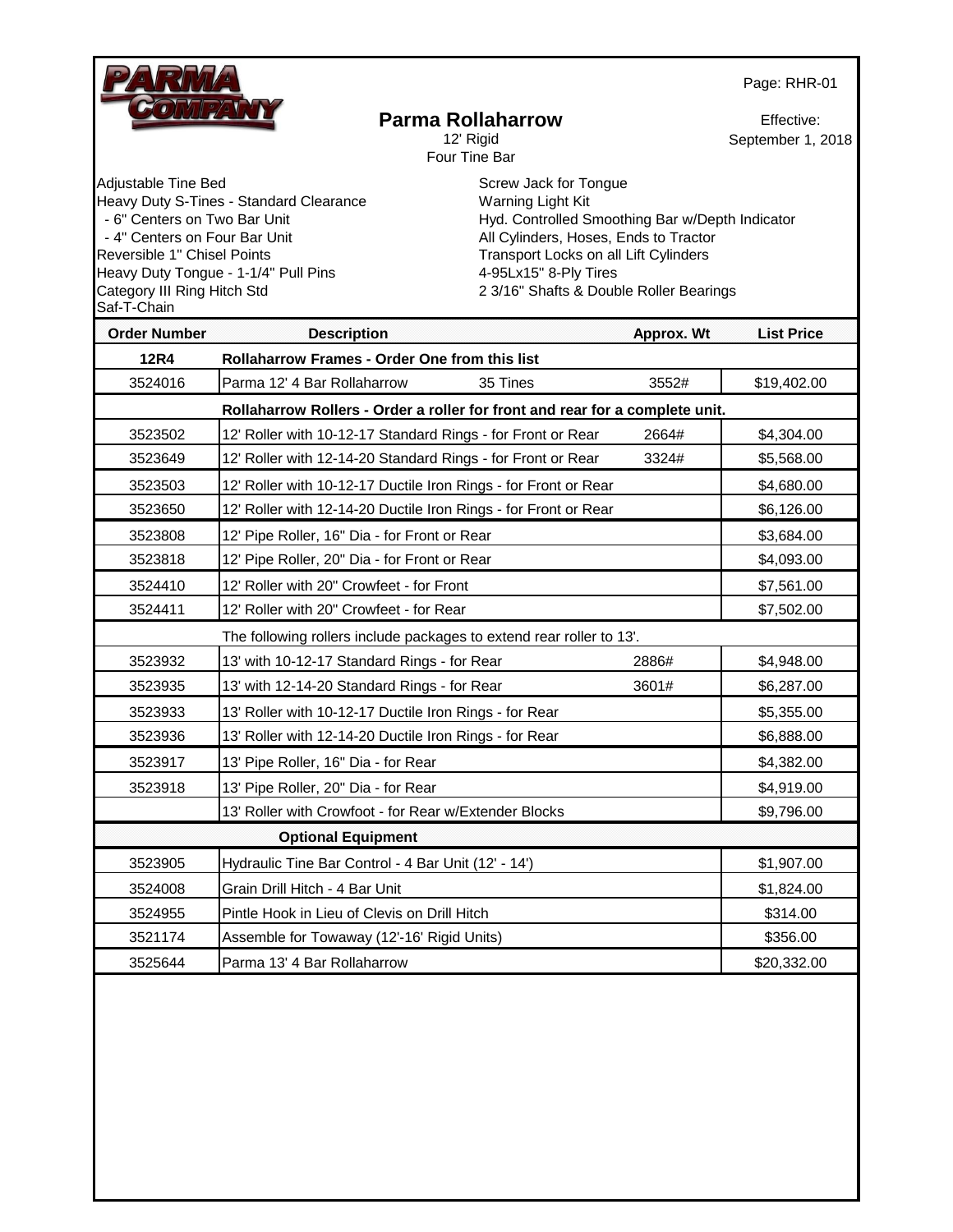

### **Parma Rollaharrow**

Four Tine Bar 12' Rigid

Effective: September 1, 2018

Adjustable Tine Bed **Screw Jack for Tongue** Screw Jack for Tongue Heavy Duty S-Tines - Standard Clearance<br>
- 6" Centers on Two Bar Unit Clearance<br>
Hyd. Controlled Si Reversible 1" Chisel Points **Transport Locks** on all Lift Cylinders Heavy Duty Tongue - 1-1/4" Pull Pins 4-95Lx15" 8-Ply Tires Category III Ring Hitch Std 2 3/16" Shafts & Double Roller Bearings Saf-T-Chain

- 6" Centers on Two Bar Unit <br>- 4" Centers on Four Bar Unit The Hyd. Controlled Smoothing Bar w/Depth Indicator<br>- 4" Centers on Four Bar Unit The Hydrodyne All Cylinders, Hoses, Ends to Tractor All Cylinders, Hoses, Ends to Tractor

| <b>Order Number</b> | <b>Description</b>                                                           | Approx. Wt | <b>List Price</b> |
|---------------------|------------------------------------------------------------------------------|------------|-------------------|
| <b>12R4</b>         | <b>Rollaharrow Frames - Order One from this list</b>                         |            |                   |
| 3524016             | Parma 12' 4 Bar Rollaharrow<br>35 Tines                                      | 3552#      | \$19,402.00       |
|                     | Rollaharrow Rollers - Order a roller for front and rear for a complete unit. |            |                   |
| 3523502             | 12' Roller with 10-12-17 Standard Rings - for Front or Rear                  | 2664#      | \$4,304.00        |
| 3523649             | 12' Roller with 12-14-20 Standard Rings - for Front or Rear                  | 3324#      | \$5,568.00        |
| 3523503             | 12' Roller with 10-12-17 Ductile Iron Rings - for Front or Rear              |            | \$4,680.00        |
| 3523650             | 12' Roller with 12-14-20 Ductile Iron Rings - for Front or Rear              |            | \$6,126.00        |
| 3523808             | 12' Pipe Roller, 16" Dia - for Front or Rear                                 |            | \$3,684.00        |
| 3523818             | 12' Pipe Roller, 20" Dia - for Front or Rear                                 |            | \$4,093.00        |
| 3524410             | 12' Roller with 20" Crowfeet - for Front                                     |            | \$7,561.00        |
| 3524411             | 12' Roller with 20" Crowfeet - for Rear                                      |            | \$7,502.00        |
|                     | The following rollers include packages to extend rear roller to 13'.         |            |                   |
| 3523932             | 13' with 10-12-17 Standard Rings - for Rear                                  | 2886#      | \$4,948.00        |
| 3523935             | 13' with 12-14-20 Standard Rings - for Rear                                  | 3601#      | \$6,287.00        |
| 3523933             | 13' Roller with 10-12-17 Ductile Iron Rings - for Rear                       |            | \$5,355.00        |
| 3523936             | 13' Roller with 12-14-20 Ductile Iron Rings - for Rear                       |            | \$6,888.00        |
| 3523917             | 13' Pipe Roller, 16" Dia - for Rear                                          |            | \$4,382.00        |
| 3523918             | 13' Pipe Roller, 20" Dia - for Rear                                          |            | \$4,919.00        |
|                     | 13' Roller with Crowfoot - for Rear w/Extender Blocks                        |            | \$9,796.00        |
|                     | <b>Optional Equipment</b>                                                    |            |                   |
| 3523905             | Hydraulic Tine Bar Control - 4 Bar Unit (12' - 14')                          |            | \$1,907.00        |
| 3524008             | Grain Drill Hitch - 4 Bar Unit                                               |            | \$1,824.00        |
| 3524955             | Pintle Hook in Lieu of Clevis on Drill Hitch                                 |            | \$314.00          |
| 3521174             | Assemble for Towaway (12'-16' Rigid Units)                                   |            | \$356.00          |
| 3525644             | Parma 13' 4 Bar Rollaharrow                                                  |            | \$20,332.00       |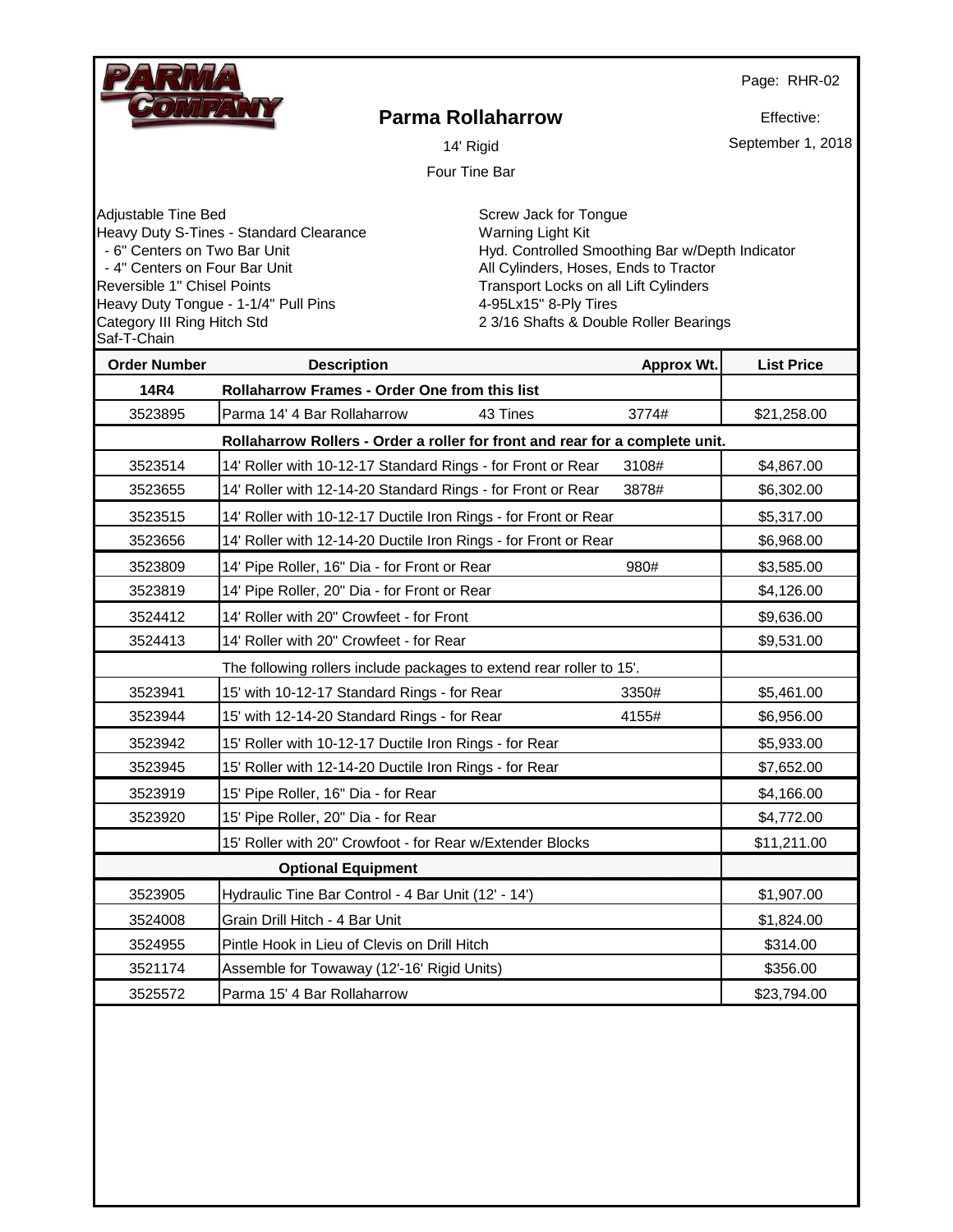|                                                                                                                                                                                                           |                                                                                                                |                                                                                                                                                                             | Page: RHR-02      |
|-----------------------------------------------------------------------------------------------------------------------------------------------------------------------------------------------------------|----------------------------------------------------------------------------------------------------------------|-----------------------------------------------------------------------------------------------------------------------------------------------------------------------------|-------------------|
|                                                                                                                                                                                                           | <b>Parma Rollaharrow</b>                                                                                       |                                                                                                                                                                             | Effective:        |
|                                                                                                                                                                                                           | 14' Rigid                                                                                                      |                                                                                                                                                                             | September 1, 2018 |
|                                                                                                                                                                                                           | Four Tine Bar                                                                                                  |                                                                                                                                                                             |                   |
|                                                                                                                                                                                                           |                                                                                                                |                                                                                                                                                                             |                   |
| Adjustable Tine Bed<br>- 6" Centers on Two Bar Unit<br>- 4" Centers on Four Bar Unit<br>Reversible 1" Chisel Points<br>Heavy Duty Tongue - 1-1/4" Pull Pins<br>Category III Ring Hitch Std<br>Saf-T-Chain | Screw Jack for Tongue<br>Heavy Duty S-Tines - Standard Clearance<br>Warning Light Kit<br>4-95Lx15" 8-Ply Tires | Hyd. Controlled Smoothing Bar w/Depth Indicator<br>All Cylinders, Hoses, Ends to Tractor<br>Transport Locks on all Lift Cylinders<br>2 3/16 Shafts & Double Roller Bearings |                   |
| <b>Order Number</b>                                                                                                                                                                                       | <b>Description</b>                                                                                             | Approx Wt.                                                                                                                                                                  | <b>List Price</b> |
| <b>14R4</b>                                                                                                                                                                                               | Rollaharrow Frames - Order One from this list                                                                  |                                                                                                                                                                             |                   |
| 3523895                                                                                                                                                                                                   | Parma 14' 4 Bar Rollaharrow<br>43 Tines                                                                        | 3774#                                                                                                                                                                       | \$21,258.00       |
|                                                                                                                                                                                                           | Rollaharrow Rollers - Order a roller for front and rear for a complete unit.                                   |                                                                                                                                                                             |                   |
| 3523514                                                                                                                                                                                                   | 14' Roller with 10-12-17 Standard Rings - for Front or Rear                                                    | 3108#                                                                                                                                                                       | \$4,867.00        |
| 3523655                                                                                                                                                                                                   | 14' Roller with 12-14-20 Standard Rings - for Front or Rear                                                    | 3878#                                                                                                                                                                       | \$6,302.00        |
| 3523515                                                                                                                                                                                                   | 14' Roller with 10-12-17 Ductile Iron Rings - for Front or Rear                                                |                                                                                                                                                                             | \$5,317.00        |
| 3523656                                                                                                                                                                                                   | 14' Roller with 12-14-20 Ductile Iron Rings - for Front or Rear                                                |                                                                                                                                                                             | \$6,968.00        |
| 3523809                                                                                                                                                                                                   | 14' Pipe Roller, 16" Dia - for Front or Rear                                                                   | 980#                                                                                                                                                                        | \$3,585.00        |
| 3523819                                                                                                                                                                                                   | 14' Pipe Roller, 20" Dia - for Front or Rear                                                                   |                                                                                                                                                                             | \$4,126.00        |
| 3524412                                                                                                                                                                                                   | 14' Roller with 20" Crowfeet - for Front                                                                       |                                                                                                                                                                             | \$9,636.00        |
| 3524413                                                                                                                                                                                                   | 14' Roller with 20" Crowfeet - for Rear                                                                        |                                                                                                                                                                             | \$9,531.00        |
|                                                                                                                                                                                                           | The following rollers include packages to extend rear roller to 15'.                                           |                                                                                                                                                                             |                   |
| 3523941                                                                                                                                                                                                   | 15' with 10-12-17 Standard Rings - for Rear                                                                    | 3350#                                                                                                                                                                       | \$5,461.00        |
| 3523944                                                                                                                                                                                                   | 15' with 12-14-20 Standard Rings - for Rear                                                                    | 4155#                                                                                                                                                                       | \$6,956.00        |
| 3523942                                                                                                                                                                                                   | 15' Roller with 10-12-17 Ductile Iron Rings - for Rear                                                         |                                                                                                                                                                             | \$5,933.00        |
| 3523945                                                                                                                                                                                                   | 15' Roller with 12-14-20 Ductile Iron Rings - for Rear                                                         |                                                                                                                                                                             | \$7,652.00        |
| 3523919                                                                                                                                                                                                   | 15' Pipe Roller, 16" Dia - for Rear                                                                            |                                                                                                                                                                             | \$4,166.00        |
| 3523920                                                                                                                                                                                                   | 15' Pipe Roller, 20" Dia - for Rear                                                                            |                                                                                                                                                                             | \$4,772.00        |
|                                                                                                                                                                                                           | 15' Roller with 20" Crowfoot - for Rear w/Extender Blocks                                                      |                                                                                                                                                                             | \$11,211.00       |
|                                                                                                                                                                                                           | <b>Optional Equipment</b>                                                                                      |                                                                                                                                                                             |                   |
| 3523905                                                                                                                                                                                                   | Hydraulic Tine Bar Control - 4 Bar Unit (12' - 14')                                                            |                                                                                                                                                                             | \$1,907.00        |
| 3524008                                                                                                                                                                                                   | Grain Drill Hitch - 4 Bar Unit                                                                                 |                                                                                                                                                                             | \$1,824.00        |
| 3524955                                                                                                                                                                                                   | Pintle Hook in Lieu of Clevis on Drill Hitch                                                                   |                                                                                                                                                                             | \$314.00          |
| 3521174                                                                                                                                                                                                   | Assemble for Towaway (12'-16' Rigid Units)                                                                     |                                                                                                                                                                             | \$356.00          |
| 3525572                                                                                                                                                                                                   | Parma 15' 4 Bar Rollaharrow                                                                                    |                                                                                                                                                                             | \$23,794.00       |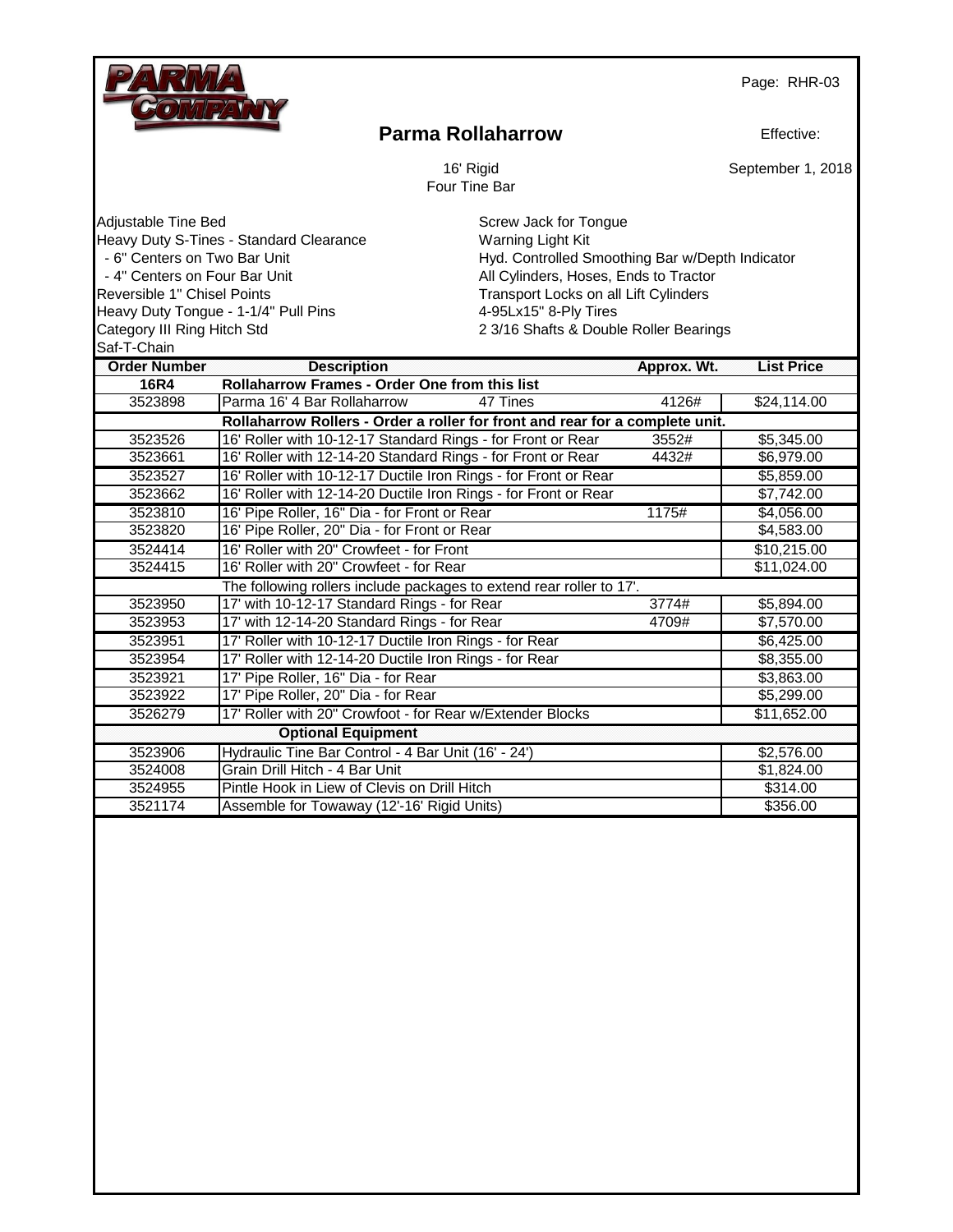| <b>Parma Rollaharrow</b><br>Effective:<br>16' Rigid<br>September 1, 2018<br>Four Tine Bar<br>Adjustable Tine Bed<br>Screw Jack for Tongue<br>Heavy Duty S-Tines - Standard Clearance<br>Warning Light Kit<br>- 6" Centers on Two Bar Unit<br>Hyd. Controlled Smoothing Bar w/Depth Indicator<br>- 4" Centers on Four Bar Unit<br>All Cylinders, Hoses, Ends to Tractor<br>Reversible 1" Chisel Points<br>Transport Locks on all Lift Cylinders<br>4-95Lx15" 8-Ply Tires<br>Heavy Duty Tongue - 1-1/4" Pull Pins<br>Category III Ring Hitch Std<br>2 3/16 Shafts & Double Roller Bearings<br><b>Description</b><br>Approx. Wt.<br><b>List Price</b><br><b>Order Number</b><br><b>16R4</b><br>Rollaharrow Frames - Order One from this list<br>Parma 16' 4 Bar Rollaharrow<br>3523898<br>4126#<br>47 Tines<br>\$24,114.00<br>Rollaharrow Rollers - Order a roller for front and rear for a complete unit.<br>3523526<br>16' Roller with 10-12-17 Standard Rings - for Front or Rear<br>\$5,345.00<br>3552#<br>16' Roller with 12-14-20 Standard Rings - for Front or Rear<br>3523661<br>4432#<br>\$6,979.00<br>\$5,859.00<br>3523527<br>16' Roller with 10-12-17 Ductile Iron Rings - for Front or Rear<br>16' Roller with 12-14-20 Ductile Iron Rings - for Front or Rear<br>3523662<br>\$7,742.00<br>1175#<br>3523810<br>16' Pipe Roller, 16" Dia - for Front or Rear<br>\$4,056.00<br>3523820<br>16' Pipe Roller, 20" Dia - for Front or Rear<br>\$4,583.00<br>16' Roller with 20" Crowfeet - for Front<br>3524414<br>\$10,215.00<br>16' Roller with 20" Crowfeet - for Rear<br>3524415<br>\$11,024.00<br>The following rollers include packages to extend rear roller to 17'.<br>3774#<br>3523950<br>17' with 10-12-17 Standard Rings - for Rear<br>\$5,894.00<br>\$7,570.00<br>3523953<br>17' with 12-14-20 Standard Rings - for Rear<br>4709#<br>3523951<br>17' Roller with 10-12-17 Ductile Iron Rings - for Rear<br>\$6,425.00<br>17' Roller with 12-14-20 Ductile Iron Rings - for Rear<br>3523954<br>\$8,355.00<br>17' Pipe Roller, 16" Dia - for Rear<br>\$3,863.00<br>3523921<br>17' Pipe Roller, 20" Dia - for Rear<br>3523922<br>\$5,299.00<br>17' Roller with 20" Crowfoot - for Rear w/Extender Blocks<br>3526279<br>\$11,652.00<br><b>Optional Equipment</b><br>Hydraulic Tine Bar Control - 4 Bar Unit (16' - 24')<br>\$2,576.00<br>3523906<br>Grain Drill Hitch - 4 Bar Unit<br>$\overline{1,824.00}$<br>3524008<br>Pintle Hook in Liew of Clevis on Drill Hitch<br>3524955<br>\$314.00<br>3521174<br>Assemble for Towaway (12'-16' Rigid Units)<br>\$356.00 |             |  | Page: RHR-03 |
|-------------------------------------------------------------------------------------------------------------------------------------------------------------------------------------------------------------------------------------------------------------------------------------------------------------------------------------------------------------------------------------------------------------------------------------------------------------------------------------------------------------------------------------------------------------------------------------------------------------------------------------------------------------------------------------------------------------------------------------------------------------------------------------------------------------------------------------------------------------------------------------------------------------------------------------------------------------------------------------------------------------------------------------------------------------------------------------------------------------------------------------------------------------------------------------------------------------------------------------------------------------------------------------------------------------------------------------------------------------------------------------------------------------------------------------------------------------------------------------------------------------------------------------------------------------------------------------------------------------------------------------------------------------------------------------------------------------------------------------------------------------------------------------------------------------------------------------------------------------------------------------------------------------------------------------------------------------------------------------------------------------------------------------------------------------------------------------------------------------------------------------------------------------------------------------------------------------------------------------------------------------------------------------------------------------------------------------------------------------------------------------------------------------------------------------------------------------------------------------------------------------------------------------------------------------------------------|-------------|--|--------------|
|                                                                                                                                                                                                                                                                                                                                                                                                                                                                                                                                                                                                                                                                                                                                                                                                                                                                                                                                                                                                                                                                                                                                                                                                                                                                                                                                                                                                                                                                                                                                                                                                                                                                                                                                                                                                                                                                                                                                                                                                                                                                                                                                                                                                                                                                                                                                                                                                                                                                                                                                                                               |             |  |              |
|                                                                                                                                                                                                                                                                                                                                                                                                                                                                                                                                                                                                                                                                                                                                                                                                                                                                                                                                                                                                                                                                                                                                                                                                                                                                                                                                                                                                                                                                                                                                                                                                                                                                                                                                                                                                                                                                                                                                                                                                                                                                                                                                                                                                                                                                                                                                                                                                                                                                                                                                                                               |             |  |              |
|                                                                                                                                                                                                                                                                                                                                                                                                                                                                                                                                                                                                                                                                                                                                                                                                                                                                                                                                                                                                                                                                                                                                                                                                                                                                                                                                                                                                                                                                                                                                                                                                                                                                                                                                                                                                                                                                                                                                                                                                                                                                                                                                                                                                                                                                                                                                                                                                                                                                                                                                                                               | Saf-T-Chain |  |              |
|                                                                                                                                                                                                                                                                                                                                                                                                                                                                                                                                                                                                                                                                                                                                                                                                                                                                                                                                                                                                                                                                                                                                                                                                                                                                                                                                                                                                                                                                                                                                                                                                                                                                                                                                                                                                                                                                                                                                                                                                                                                                                                                                                                                                                                                                                                                                                                                                                                                                                                                                                                               |             |  |              |
|                                                                                                                                                                                                                                                                                                                                                                                                                                                                                                                                                                                                                                                                                                                                                                                                                                                                                                                                                                                                                                                                                                                                                                                                                                                                                                                                                                                                                                                                                                                                                                                                                                                                                                                                                                                                                                                                                                                                                                                                                                                                                                                                                                                                                                                                                                                                                                                                                                                                                                                                                                               |             |  |              |
|                                                                                                                                                                                                                                                                                                                                                                                                                                                                                                                                                                                                                                                                                                                                                                                                                                                                                                                                                                                                                                                                                                                                                                                                                                                                                                                                                                                                                                                                                                                                                                                                                                                                                                                                                                                                                                                                                                                                                                                                                                                                                                                                                                                                                                                                                                                                                                                                                                                                                                                                                                               |             |  |              |
|                                                                                                                                                                                                                                                                                                                                                                                                                                                                                                                                                                                                                                                                                                                                                                                                                                                                                                                                                                                                                                                                                                                                                                                                                                                                                                                                                                                                                                                                                                                                                                                                                                                                                                                                                                                                                                                                                                                                                                                                                                                                                                                                                                                                                                                                                                                                                                                                                                                                                                                                                                               |             |  |              |
|                                                                                                                                                                                                                                                                                                                                                                                                                                                                                                                                                                                                                                                                                                                                                                                                                                                                                                                                                                                                                                                                                                                                                                                                                                                                                                                                                                                                                                                                                                                                                                                                                                                                                                                                                                                                                                                                                                                                                                                                                                                                                                                                                                                                                                                                                                                                                                                                                                                                                                                                                                               |             |  |              |
|                                                                                                                                                                                                                                                                                                                                                                                                                                                                                                                                                                                                                                                                                                                                                                                                                                                                                                                                                                                                                                                                                                                                                                                                                                                                                                                                                                                                                                                                                                                                                                                                                                                                                                                                                                                                                                                                                                                                                                                                                                                                                                                                                                                                                                                                                                                                                                                                                                                                                                                                                                               |             |  |              |
|                                                                                                                                                                                                                                                                                                                                                                                                                                                                                                                                                                                                                                                                                                                                                                                                                                                                                                                                                                                                                                                                                                                                                                                                                                                                                                                                                                                                                                                                                                                                                                                                                                                                                                                                                                                                                                                                                                                                                                                                                                                                                                                                                                                                                                                                                                                                                                                                                                                                                                                                                                               |             |  |              |
|                                                                                                                                                                                                                                                                                                                                                                                                                                                                                                                                                                                                                                                                                                                                                                                                                                                                                                                                                                                                                                                                                                                                                                                                                                                                                                                                                                                                                                                                                                                                                                                                                                                                                                                                                                                                                                                                                                                                                                                                                                                                                                                                                                                                                                                                                                                                                                                                                                                                                                                                                                               |             |  |              |
|                                                                                                                                                                                                                                                                                                                                                                                                                                                                                                                                                                                                                                                                                                                                                                                                                                                                                                                                                                                                                                                                                                                                                                                                                                                                                                                                                                                                                                                                                                                                                                                                                                                                                                                                                                                                                                                                                                                                                                                                                                                                                                                                                                                                                                                                                                                                                                                                                                                                                                                                                                               |             |  |              |
|                                                                                                                                                                                                                                                                                                                                                                                                                                                                                                                                                                                                                                                                                                                                                                                                                                                                                                                                                                                                                                                                                                                                                                                                                                                                                                                                                                                                                                                                                                                                                                                                                                                                                                                                                                                                                                                                                                                                                                                                                                                                                                                                                                                                                                                                                                                                                                                                                                                                                                                                                                               |             |  |              |
|                                                                                                                                                                                                                                                                                                                                                                                                                                                                                                                                                                                                                                                                                                                                                                                                                                                                                                                                                                                                                                                                                                                                                                                                                                                                                                                                                                                                                                                                                                                                                                                                                                                                                                                                                                                                                                                                                                                                                                                                                                                                                                                                                                                                                                                                                                                                                                                                                                                                                                                                                                               |             |  |              |
|                                                                                                                                                                                                                                                                                                                                                                                                                                                                                                                                                                                                                                                                                                                                                                                                                                                                                                                                                                                                                                                                                                                                                                                                                                                                                                                                                                                                                                                                                                                                                                                                                                                                                                                                                                                                                                                                                                                                                                                                                                                                                                                                                                                                                                                                                                                                                                                                                                                                                                                                                                               |             |  |              |
|                                                                                                                                                                                                                                                                                                                                                                                                                                                                                                                                                                                                                                                                                                                                                                                                                                                                                                                                                                                                                                                                                                                                                                                                                                                                                                                                                                                                                                                                                                                                                                                                                                                                                                                                                                                                                                                                                                                                                                                                                                                                                                                                                                                                                                                                                                                                                                                                                                                                                                                                                                               |             |  |              |
|                                                                                                                                                                                                                                                                                                                                                                                                                                                                                                                                                                                                                                                                                                                                                                                                                                                                                                                                                                                                                                                                                                                                                                                                                                                                                                                                                                                                                                                                                                                                                                                                                                                                                                                                                                                                                                                                                                                                                                                                                                                                                                                                                                                                                                                                                                                                                                                                                                                                                                                                                                               |             |  |              |
|                                                                                                                                                                                                                                                                                                                                                                                                                                                                                                                                                                                                                                                                                                                                                                                                                                                                                                                                                                                                                                                                                                                                                                                                                                                                                                                                                                                                                                                                                                                                                                                                                                                                                                                                                                                                                                                                                                                                                                                                                                                                                                                                                                                                                                                                                                                                                                                                                                                                                                                                                                               |             |  |              |
|                                                                                                                                                                                                                                                                                                                                                                                                                                                                                                                                                                                                                                                                                                                                                                                                                                                                                                                                                                                                                                                                                                                                                                                                                                                                                                                                                                                                                                                                                                                                                                                                                                                                                                                                                                                                                                                                                                                                                                                                                                                                                                                                                                                                                                                                                                                                                                                                                                                                                                                                                                               |             |  |              |
|                                                                                                                                                                                                                                                                                                                                                                                                                                                                                                                                                                                                                                                                                                                                                                                                                                                                                                                                                                                                                                                                                                                                                                                                                                                                                                                                                                                                                                                                                                                                                                                                                                                                                                                                                                                                                                                                                                                                                                                                                                                                                                                                                                                                                                                                                                                                                                                                                                                                                                                                                                               |             |  |              |
|                                                                                                                                                                                                                                                                                                                                                                                                                                                                                                                                                                                                                                                                                                                                                                                                                                                                                                                                                                                                                                                                                                                                                                                                                                                                                                                                                                                                                                                                                                                                                                                                                                                                                                                                                                                                                                                                                                                                                                                                                                                                                                                                                                                                                                                                                                                                                                                                                                                                                                                                                                               |             |  |              |
|                                                                                                                                                                                                                                                                                                                                                                                                                                                                                                                                                                                                                                                                                                                                                                                                                                                                                                                                                                                                                                                                                                                                                                                                                                                                                                                                                                                                                                                                                                                                                                                                                                                                                                                                                                                                                                                                                                                                                                                                                                                                                                                                                                                                                                                                                                                                                                                                                                                                                                                                                                               |             |  |              |
|                                                                                                                                                                                                                                                                                                                                                                                                                                                                                                                                                                                                                                                                                                                                                                                                                                                                                                                                                                                                                                                                                                                                                                                                                                                                                                                                                                                                                                                                                                                                                                                                                                                                                                                                                                                                                                                                                                                                                                                                                                                                                                                                                                                                                                                                                                                                                                                                                                                                                                                                                                               |             |  |              |
|                                                                                                                                                                                                                                                                                                                                                                                                                                                                                                                                                                                                                                                                                                                                                                                                                                                                                                                                                                                                                                                                                                                                                                                                                                                                                                                                                                                                                                                                                                                                                                                                                                                                                                                                                                                                                                                                                                                                                                                                                                                                                                                                                                                                                                                                                                                                                                                                                                                                                                                                                                               |             |  |              |
|                                                                                                                                                                                                                                                                                                                                                                                                                                                                                                                                                                                                                                                                                                                                                                                                                                                                                                                                                                                                                                                                                                                                                                                                                                                                                                                                                                                                                                                                                                                                                                                                                                                                                                                                                                                                                                                                                                                                                                                                                                                                                                                                                                                                                                                                                                                                                                                                                                                                                                                                                                               |             |  |              |
|                                                                                                                                                                                                                                                                                                                                                                                                                                                                                                                                                                                                                                                                                                                                                                                                                                                                                                                                                                                                                                                                                                                                                                                                                                                                                                                                                                                                                                                                                                                                                                                                                                                                                                                                                                                                                                                                                                                                                                                                                                                                                                                                                                                                                                                                                                                                                                                                                                                                                                                                                                               |             |  |              |
|                                                                                                                                                                                                                                                                                                                                                                                                                                                                                                                                                                                                                                                                                                                                                                                                                                                                                                                                                                                                                                                                                                                                                                                                                                                                                                                                                                                                                                                                                                                                                                                                                                                                                                                                                                                                                                                                                                                                                                                                                                                                                                                                                                                                                                                                                                                                                                                                                                                                                                                                                                               |             |  |              |
|                                                                                                                                                                                                                                                                                                                                                                                                                                                                                                                                                                                                                                                                                                                                                                                                                                                                                                                                                                                                                                                                                                                                                                                                                                                                                                                                                                                                                                                                                                                                                                                                                                                                                                                                                                                                                                                                                                                                                                                                                                                                                                                                                                                                                                                                                                                                                                                                                                                                                                                                                                               |             |  |              |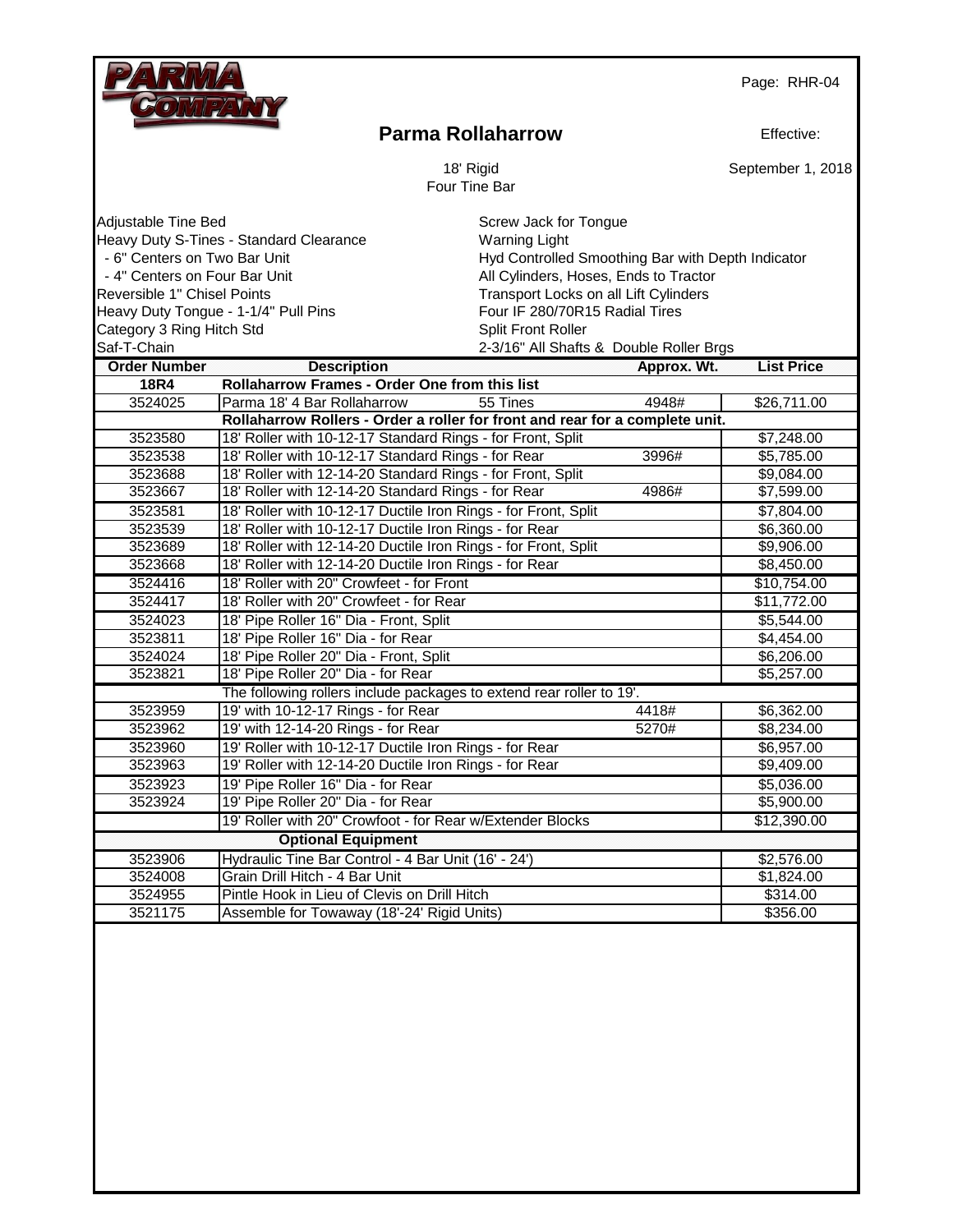|                                                                                                                                                                 |                                                                                                                  |                                                                                                                                                                                                                                                                                                |             | Page: RHR-04      |
|-----------------------------------------------------------------------------------------------------------------------------------------------------------------|------------------------------------------------------------------------------------------------------------------|------------------------------------------------------------------------------------------------------------------------------------------------------------------------------------------------------------------------------------------------------------------------------------------------|-------------|-------------------|
|                                                                                                                                                                 |                                                                                                                  | <b>Parma Rollaharrow</b>                                                                                                                                                                                                                                                                       |             | Effective:        |
|                                                                                                                                                                 |                                                                                                                  | 18' Rigid<br>Four Tine Bar                                                                                                                                                                                                                                                                     |             | September 1, 2018 |
| Adjustable Tine Bed<br>- 6" Centers on Two Bar Unit<br>- 4" Centers on Four Bar Unit<br>Reversible 1" Chisel Points<br>Category 3 Ring Hitch Std<br>Saf-T-Chain | Heavy Duty S-Tines - Standard Clearance<br>Heavy Duty Tongue - 1-1/4" Pull Pins                                  | Screw Jack for Tongue<br><b>Warning Light</b><br>Hyd Controlled Smoothing Bar with Depth Indicator<br>All Cylinders, Hoses, Ends to Tractor<br>Transport Locks on all Lift Cylinders<br>Four IF 280/70R15 Radial Tires<br><b>Split Front Roller</b><br>2-3/16" All Shafts & Double Roller Brgs |             |                   |
| <b>Order Number</b>                                                                                                                                             | <b>Description</b>                                                                                               |                                                                                                                                                                                                                                                                                                | Approx. Wt. | <b>List Price</b> |
| <b>18R4</b>                                                                                                                                                     | Rollaharrow Frames - Order One from this list                                                                    |                                                                                                                                                                                                                                                                                                |             |                   |
| 3524025                                                                                                                                                         | Parma 18' 4 Bar Rollaharrow<br>Rollaharrow Rollers - Order a roller for front and rear for a complete unit.      | 55 Tines                                                                                                                                                                                                                                                                                       | 4948#       | \$26,711.00       |
|                                                                                                                                                                 |                                                                                                                  |                                                                                                                                                                                                                                                                                                |             |                   |
| 3523580                                                                                                                                                         | 18' Roller with 10-12-17 Standard Rings - for Front, Split                                                       |                                                                                                                                                                                                                                                                                                |             | \$7,248.00        |
| 3523538                                                                                                                                                         | 18' Roller with 10-12-17 Standard Rings - for Rear                                                               |                                                                                                                                                                                                                                                                                                | 3996#       | \$5,785.00        |
| 3523688<br>3523667                                                                                                                                              | 18' Roller with 12-14-20 Standard Rings - for Front, Split<br>18' Roller with 12-14-20 Standard Rings - for Rear |                                                                                                                                                                                                                                                                                                | 4986#       | \$9,084.00        |
|                                                                                                                                                                 |                                                                                                                  |                                                                                                                                                                                                                                                                                                |             | \$7,599.00        |
| 3523581                                                                                                                                                         | 18' Roller with 10-12-17 Ductile Iron Rings - for Front, Split                                                   |                                                                                                                                                                                                                                                                                                |             | \$7,804.00        |
| 3523539                                                                                                                                                         | 18' Roller with 10-12-17 Ductile Iron Rings - for Rear                                                           |                                                                                                                                                                                                                                                                                                |             | \$6,360.00        |
| 3523689                                                                                                                                                         | 18' Roller with 12-14-20 Ductile Iron Rings - for Front, Split                                                   |                                                                                                                                                                                                                                                                                                |             | \$9,906.00        |
| 3523668                                                                                                                                                         | 18' Roller with 12-14-20 Ductile Iron Rings - for Rear                                                           |                                                                                                                                                                                                                                                                                                |             | \$8,450.00        |
| 3524416                                                                                                                                                         | 18' Roller with 20" Crowfeet - for Front                                                                         |                                                                                                                                                                                                                                                                                                |             | \$10,754.00       |
| 3524417                                                                                                                                                         | 18' Roller with 20" Crowfeet - for Rear                                                                          |                                                                                                                                                                                                                                                                                                |             | \$11,772.00       |
| 3524023                                                                                                                                                         | 18' Pipe Roller 16" Dia - Front, Split                                                                           |                                                                                                                                                                                                                                                                                                |             | \$5,544.00        |
| 3523811                                                                                                                                                         | 18' Pipe Roller 16" Dia - for Rear                                                                               |                                                                                                                                                                                                                                                                                                |             | \$4,454.00        |
| 3524024                                                                                                                                                         | 18' Pipe Roller 20" Dia - Front, Split                                                                           |                                                                                                                                                                                                                                                                                                |             | \$6,206.00        |
| 3523821                                                                                                                                                         | 18' Pipe Roller 20" Dia - for Rear                                                                               |                                                                                                                                                                                                                                                                                                |             | \$5,257.00        |
|                                                                                                                                                                 | The following rollers include packages to extend rear roller to 19'.                                             |                                                                                                                                                                                                                                                                                                |             |                   |
| 3523959                                                                                                                                                         | 19' with 10-12-17 Rings - for Rear                                                                               |                                                                                                                                                                                                                                                                                                | 4418#       | \$6,362.00        |
| 3523962                                                                                                                                                         | 19' with 12-14-20 Rings - for Rear                                                                               |                                                                                                                                                                                                                                                                                                | 5270#       | \$8,234.00        |
| 3523960                                                                                                                                                         | 19' Roller with 10-12-17 Ductile Iron Rings - for Rear                                                           |                                                                                                                                                                                                                                                                                                |             | \$6,957.00        |
| 3523963                                                                                                                                                         | 19' Roller with 12-14-20 Ductile Iron Rings - for Rear                                                           |                                                                                                                                                                                                                                                                                                |             | \$9,409.00        |
| 3523923                                                                                                                                                         | 19' Pipe Roller 16" Dia - for Rear                                                                               |                                                                                                                                                                                                                                                                                                |             | \$5,036.00        |
| 3523924                                                                                                                                                         | 19' Pipe Roller 20" Dia - for Rear                                                                               |                                                                                                                                                                                                                                                                                                |             | \$5,900.00        |
|                                                                                                                                                                 | 19' Roller with 20" Crowfoot - for Rear w/Extender Blocks                                                        |                                                                                                                                                                                                                                                                                                |             | \$12,390.00       |
|                                                                                                                                                                 | <b>Optional Equipment</b>                                                                                        |                                                                                                                                                                                                                                                                                                |             |                   |
| 3523906                                                                                                                                                         | Hydraulic Tine Bar Control - 4 Bar Unit (16' - 24')                                                              |                                                                                                                                                                                                                                                                                                |             | \$2,576.00        |
| 3524008                                                                                                                                                         | Grain Drill Hitch - 4 Bar Unit                                                                                   |                                                                                                                                                                                                                                                                                                |             | \$1,824.00        |
| 3524955                                                                                                                                                         | Pintle Hook in Lieu of Clevis on Drill Hitch                                                                     |                                                                                                                                                                                                                                                                                                |             | \$314.00          |
| 3521175                                                                                                                                                         | Assemble for Towaway (18'-24' Rigid Units)                                                                       |                                                                                                                                                                                                                                                                                                |             | \$356.00          |
|                                                                                                                                                                 |                                                                                                                  |                                                                                                                                                                                                                                                                                                |             |                   |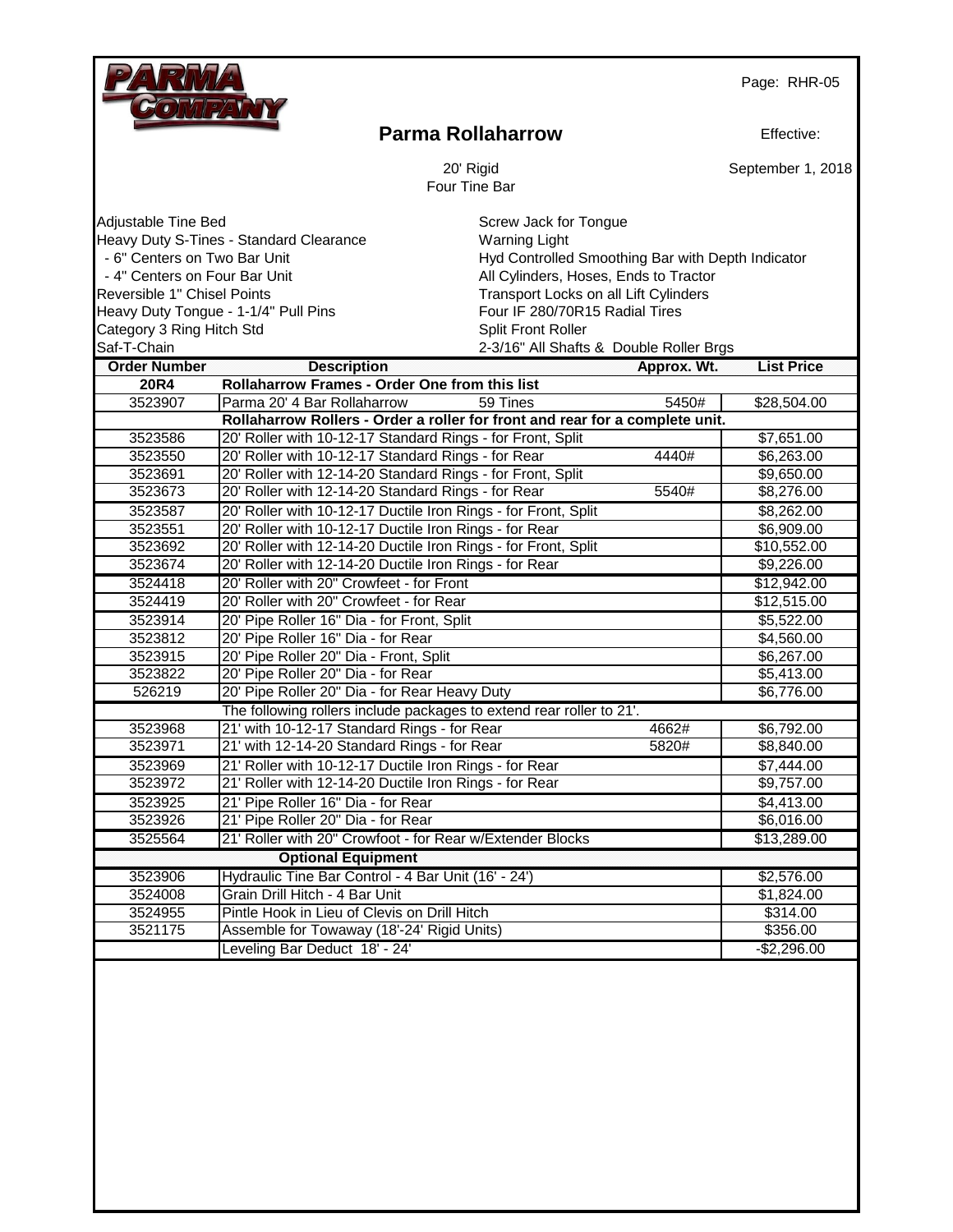|                               |                                                                              | Page: RHR-05                     |
|-------------------------------|------------------------------------------------------------------------------|----------------------------------|
|                               | <b>Parma Rollaharrow</b>                                                     | Effective:                       |
|                               | 20' Rigid<br>Four Tine Bar                                                   | September 1, 2018                |
| Adjustable Tine Bed           | Screw Jack for Tongue                                                        |                                  |
|                               | Heavy Duty S-Tines - Standard Clearance<br><b>Warning Light</b>              |                                  |
| - 6" Centers on Two Bar Unit  | Hyd Controlled Smoothing Bar with Depth Indicator                            |                                  |
| - 4" Centers on Four Bar Unit | All Cylinders, Hoses, Ends to Tractor                                        |                                  |
| Reversible 1" Chisel Points   | Transport Locks on all Lift Cylinders                                        |                                  |
|                               | Four IF 280/70R15 Radial Tires<br>Heavy Duty Tongue - 1-1/4" Pull Pins       |                                  |
| Category 3 Ring Hitch Std     | <b>Split Front Roller</b>                                                    |                                  |
| Saf-T-Chain                   | 2-3/16" All Shafts & Double Roller Brgs                                      |                                  |
| <b>Order Number</b>           | <b>Description</b>                                                           | Approx. Wt.<br><b>List Price</b> |
| <b>20R4</b>                   | Rollaharrow Frames - Order One from this list                                |                                  |
| 3523907                       | Parma 20' 4 Bar Rollaharrow<br>59 Tines                                      | 5450#<br>\$28,504.00             |
|                               | Rollaharrow Rollers - Order a roller for front and rear for a complete unit. |                                  |
| 3523586                       | 20' Roller with 10-12-17 Standard Rings - for Front, Split                   | \$7,651.00                       |
| 3523550                       | 20' Roller with 10-12-17 Standard Rings - for Rear                           | 4440#<br>\$6,263.00              |
| 3523691                       | 20' Roller with 12-14-20 Standard Rings - for Front, Split                   | \$9,650.00                       |
| 3523673                       | 20' Roller with 12-14-20 Standard Rings - for Rear                           | 5540#<br>\$8,276.00              |
| 3523587                       | 20' Roller with 10-12-17 Ductile Iron Rings - for Front, Split               | \$8,262.00                       |
| 3523551                       | 20' Roller with 10-12-17 Ductile Iron Rings - for Rear                       | \$6,909.00                       |
| 3523692                       | 20' Roller with 12-14-20 Ductile Iron Rings - for Front, Split               | \$10,552.00                      |
| 3523674                       | 20' Roller with 12-14-20 Ductile Iron Rings - for Rear                       | \$9,226.00                       |
| 3524418                       | 20' Roller with 20" Crowfeet - for Front                                     | \$12,942.00                      |
| 3524419                       | 20' Roller with 20" Crowfeet - for Rear                                      | \$12,515.00                      |
| 3523914                       | 20' Pipe Roller 16" Dia - for Front, Split                                   | \$5,522.00                       |
| 3523812                       | 20' Pipe Roller 16" Dia - for Rear                                           | \$4,560.00                       |
| 3523915                       | 20' Pipe Roller 20" Dia - Front, Split                                       | \$6,267.00                       |
| 3523822                       | 20' Pipe Roller 20" Dia - for Rear                                           | \$5,413.00                       |
| 526219                        | 20' Pipe Roller 20" Dia - for Rear Heavy Duty                                | \$6,776.00                       |
|                               | The following rollers include packages to extend rear roller to 21'.         |                                  |
| 3523968                       | 21' with 10-12-17 Standard Rings - for Rear<br>4662#                         | \$6,792.00                       |
| 3523971                       | 21' with 12-14-20 Standard Rings - for Rear<br>5820#                         | \$8,840.00                       |
| 3523969                       | 21' Roller with 10-12-17 Ductile Iron Rings - for Rear                       | \$7,444.00                       |
| 3523972                       | 21' Roller with 12-14-20 Ductile Iron Rings - for Rear                       | \$9,757.00                       |
| 3523925                       | 21' Pipe Roller 16" Dia - for Rear                                           | \$4,413.00                       |
| 3523926                       | 21' Pipe Roller 20" Dia - for Rear                                           | \$6,016.00                       |
| 3525564                       | 21' Roller with 20" Crowfoot - for Rear w/Extender Blocks                    | \$13,289.00                      |
|                               | <b>Optional Equipment</b>                                                    |                                  |
| 3523906                       | Hydraulic Tine Bar Control - 4 Bar Unit (16' - 24')                          | \$2,576.00                       |
| 3524008                       | Grain Drill Hitch - 4 Bar Unit                                               | \$1,824.00                       |
| 3524955                       | Pintle Hook in Lieu of Clevis on Drill Hitch                                 | \$314.00                         |
| 3521175                       | Assemble for Towaway (18'-24' Rigid Units)                                   | \$356.00                         |
|                               | Leveling Bar Deduct 18' - 24'                                                | $-$ \$2,296.00                   |
|                               |                                                                              |                                  |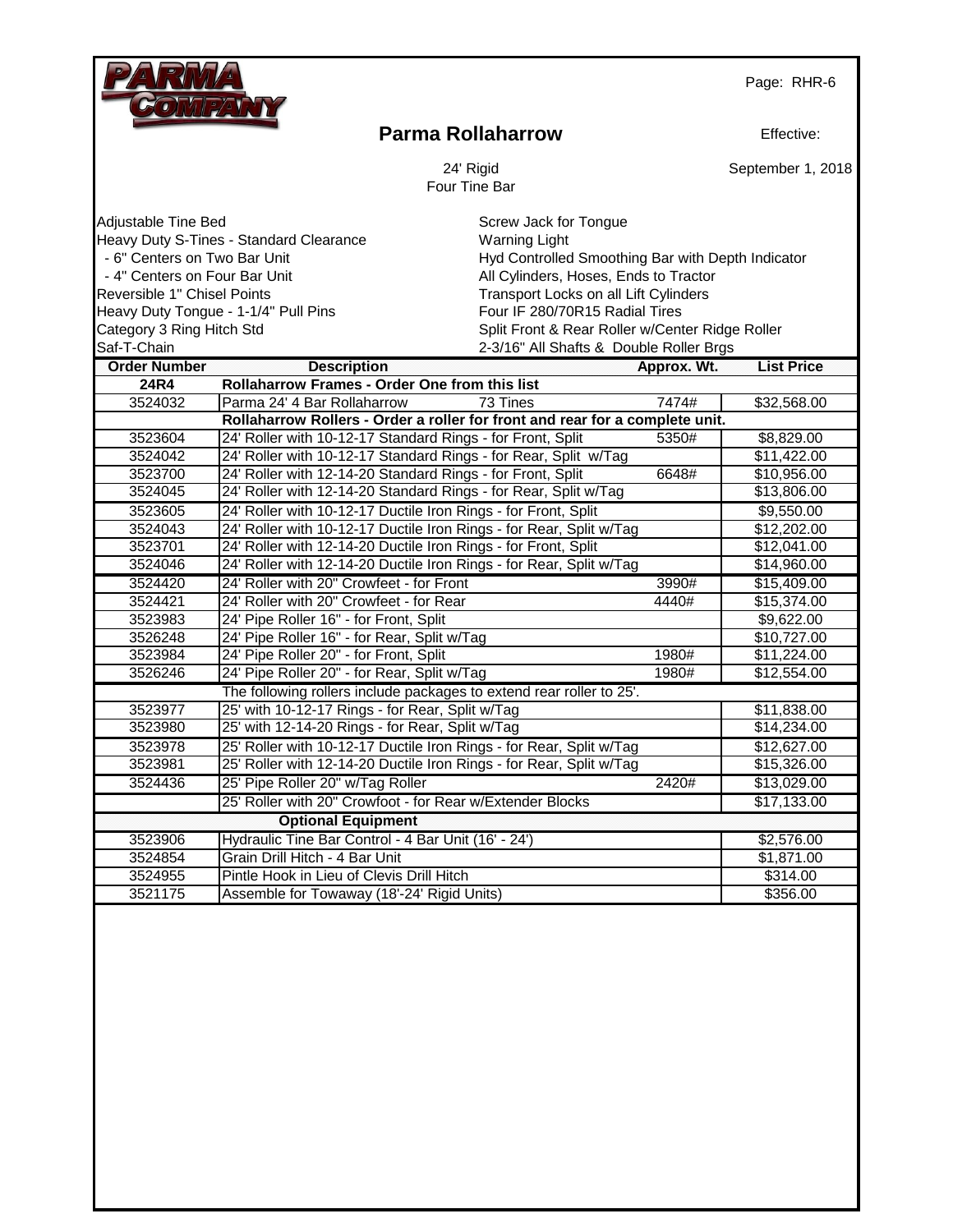|                                                                                                                                                                 |                                                                                 |                                                                                                                                                                                                                                                                                                                      |             | Page: RHR-6       |
|-----------------------------------------------------------------------------------------------------------------------------------------------------------------|---------------------------------------------------------------------------------|----------------------------------------------------------------------------------------------------------------------------------------------------------------------------------------------------------------------------------------------------------------------------------------------------------------------|-------------|-------------------|
|                                                                                                                                                                 |                                                                                 | <b>Parma Rollaharrow</b>                                                                                                                                                                                                                                                                                             |             | Effective:        |
|                                                                                                                                                                 |                                                                                 | 24' Rigid<br>Four Tine Bar                                                                                                                                                                                                                                                                                           |             | September 1, 2018 |
| Adjustable Tine Bed<br>- 6" Centers on Two Bar Unit<br>- 4" Centers on Four Bar Unit<br>Reversible 1" Chisel Points<br>Category 3 Ring Hitch Std<br>Saf-T-Chain | Heavy Duty S-Tines - Standard Clearance<br>Heavy Duty Tongue - 1-1/4" Pull Pins | Screw Jack for Tongue<br><b>Warning Light</b><br>Hyd Controlled Smoothing Bar with Depth Indicator<br>All Cylinders, Hoses, Ends to Tractor<br>Transport Locks on all Lift Cylinders<br>Four IF 280/70R15 Radial Tires<br>Split Front & Rear Roller w/Center Ridge Roller<br>2-3/16" All Shafts & Double Roller Brgs |             |                   |
| <b>Order Number</b>                                                                                                                                             | <b>Description</b>                                                              |                                                                                                                                                                                                                                                                                                                      | Approx. Wt. | <b>List Price</b> |
| 24R4                                                                                                                                                            | Rollaharrow Frames - Order One from this list                                   |                                                                                                                                                                                                                                                                                                                      |             |                   |
| 3524032                                                                                                                                                         | Parma 24' 4 Bar Rollaharrow                                                     | 73 Tines                                                                                                                                                                                                                                                                                                             | 7474#       | \$32,568.00       |
|                                                                                                                                                                 | Rollaharrow Rollers - Order a roller for front and rear for a complete unit.    |                                                                                                                                                                                                                                                                                                                      |             |                   |
| 3523604                                                                                                                                                         | 24' Roller with 10-12-17 Standard Rings - for Front, Split                      |                                                                                                                                                                                                                                                                                                                      | 5350#       | \$8,829.00        |
| 3524042                                                                                                                                                         | 24' Roller with 10-12-17 Standard Rings - for Rear, Split w/Tag                 |                                                                                                                                                                                                                                                                                                                      |             | \$11,422.00       |
| 3523700                                                                                                                                                         | 24' Roller with 12-14-20 Standard Rings - for Front, Split                      |                                                                                                                                                                                                                                                                                                                      | 6648#       | \$10,956.00       |
| 3524045                                                                                                                                                         | 24' Roller with 12-14-20 Standard Rings - for Rear, Split w/Tag                 |                                                                                                                                                                                                                                                                                                                      |             | \$13,806.00       |
| 3523605                                                                                                                                                         | 24' Roller with 10-12-17 Ductile Iron Rings - for Front, Split                  |                                                                                                                                                                                                                                                                                                                      |             | \$9,550.00        |
| 3524043                                                                                                                                                         | 24' Roller with 10-12-17 Ductile Iron Rings - for Rear, Split w/Tag             |                                                                                                                                                                                                                                                                                                                      |             | \$12,202.00       |
| 3523701                                                                                                                                                         | 24' Roller with 12-14-20 Ductile Iron Rings - for Front, Split                  |                                                                                                                                                                                                                                                                                                                      |             | \$12,041.00       |
| 3524046                                                                                                                                                         | 24' Roller with 12-14-20 Ductile Iron Rings - for Rear, Split w/Tag             |                                                                                                                                                                                                                                                                                                                      |             | \$14,960.00       |
| 3524420                                                                                                                                                         | 24' Roller with 20" Crowfeet - for Front                                        |                                                                                                                                                                                                                                                                                                                      | 3990#       | \$15,409.00       |
| 3524421                                                                                                                                                         | 24' Roller with 20" Crowfeet - for Rear                                         |                                                                                                                                                                                                                                                                                                                      | 4440#       | \$15,374.00       |
| 3523983                                                                                                                                                         | 24' Pipe Roller 16" - for Front, Split                                          |                                                                                                                                                                                                                                                                                                                      |             | \$9,622.00        |
| 3526248                                                                                                                                                         | 24' Pipe Roller 16" - for Rear, Split w/Tag                                     |                                                                                                                                                                                                                                                                                                                      |             | \$10,727.00       |
| 3523984                                                                                                                                                         | 24' Pipe Roller 20" - for Front, Split                                          |                                                                                                                                                                                                                                                                                                                      | 1980#       | \$11,224.00       |
| 3526246                                                                                                                                                         | 24' Pipe Roller 20" - for Rear, Split w/Tag                                     |                                                                                                                                                                                                                                                                                                                      | 1980#       | \$12,554.00       |
|                                                                                                                                                                 | The following rollers include packages to extend rear roller to 25'.            |                                                                                                                                                                                                                                                                                                                      |             |                   |
| 3523977                                                                                                                                                         | 25' with 10-12-17 Rings - for Rear, Split w/Tag                                 |                                                                                                                                                                                                                                                                                                                      |             | \$11,838.00       |
| 3523980                                                                                                                                                         | 25' with 12-14-20 Rings - for Rear, Split w/Tag                                 |                                                                                                                                                                                                                                                                                                                      |             | \$14,234.00       |
| 3523978                                                                                                                                                         | 25' Roller with 10-12-17 Ductile Iron Rings - for Rear, Split w/Tag             |                                                                                                                                                                                                                                                                                                                      |             | \$12,627.00       |
| 3523981                                                                                                                                                         | 25' Roller with 12-14-20 Ductile Iron Rings - for Rear, Split w/Tag             |                                                                                                                                                                                                                                                                                                                      |             | \$15,326.00       |
| 3524436                                                                                                                                                         | 25' Pipe Roller 20" w/Tag Roller                                                |                                                                                                                                                                                                                                                                                                                      | 2420#       | \$13,029.00       |
|                                                                                                                                                                 | 25' Roller with 20" Crowfoot - for Rear w/Extender Blocks                       |                                                                                                                                                                                                                                                                                                                      |             | \$17,133.00       |
|                                                                                                                                                                 | <b>Optional Equipment</b>                                                       |                                                                                                                                                                                                                                                                                                                      |             |                   |
| 3523906                                                                                                                                                         | Hydraulic Tine Bar Control - 4 Bar Unit (16' - 24')                             |                                                                                                                                                                                                                                                                                                                      |             | \$2,576.00        |
| 3524854                                                                                                                                                         | Grain Drill Hitch - 4 Bar Unit                                                  |                                                                                                                                                                                                                                                                                                                      |             | \$1,871.00        |
| 3524955                                                                                                                                                         | Pintle Hook in Lieu of Clevis Drill Hitch                                       |                                                                                                                                                                                                                                                                                                                      |             | \$314.00          |
| 3521175                                                                                                                                                         | Assemble for Towaway (18'-24' Rigid Units)                                      |                                                                                                                                                                                                                                                                                                                      |             | \$356.00          |
|                                                                                                                                                                 |                                                                                 |                                                                                                                                                                                                                                                                                                                      |             |                   |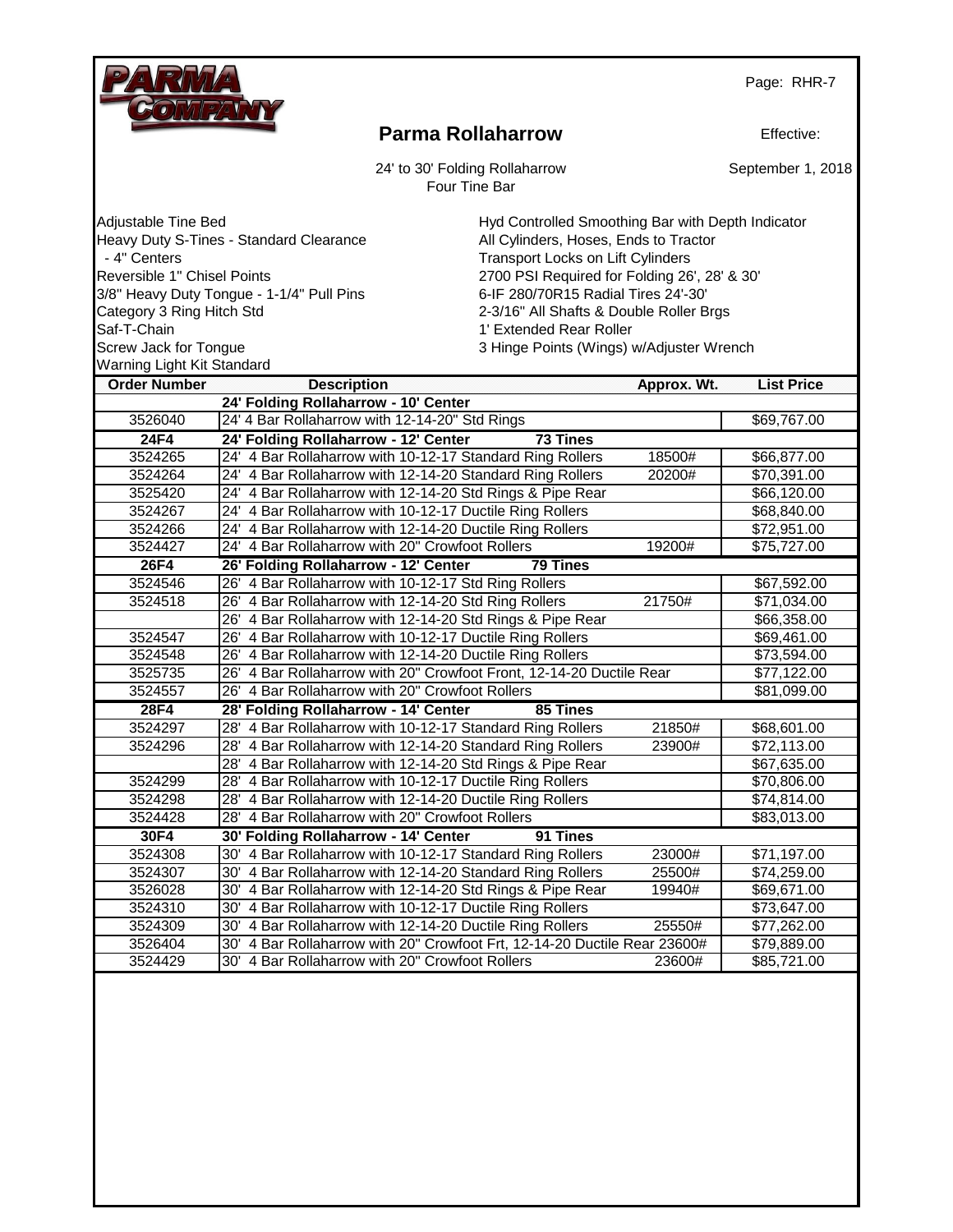|                                                   |                                                                                                                                                                                                                                                                                  |                                                                                                           |             | Page: RHR-7             |
|---------------------------------------------------|----------------------------------------------------------------------------------------------------------------------------------------------------------------------------------------------------------------------------------------------------------------------------------|-----------------------------------------------------------------------------------------------------------|-------------|-------------------------|
|                                                   |                                                                                                                                                                                                                                                                                  | <b>Parma Rollaharrow</b>                                                                                  |             | Effective:              |
|                                                   |                                                                                                                                                                                                                                                                                  | 24' to 30' Folding Rollaharrow<br>Four Tine Bar                                                           |             | September 1, 2018       |
| -4" Centers                                       | Hyd Controlled Smoothing Bar with Depth Indicator<br>Adjustable Tine Bed<br>Heavy Duty S-Tines - Standard Clearance<br>All Cylinders, Hoses, Ends to Tractor<br>Transport Locks on Lift Cylinders<br>Reversible 1" Chisel Points<br>2700 PSI Required for Folding 26', 28' & 30' |                                                                                                           |             |                         |
| Category 3 Ring Hitch Std<br>Saf-T-Chain          | 3/8" Heavy Duty Tongue - 1-1/4" Pull Pins                                                                                                                                                                                                                                        | 6-IF 280/70R15 Radial Tires 24'-30'<br>2-3/16" All Shafts & Double Roller Brgs<br>1' Extended Rear Roller |             |                         |
| Screw Jack for Tongue                             |                                                                                                                                                                                                                                                                                  | 3 Hinge Points (Wings) w/Adjuster Wrench                                                                  |             |                         |
| Warning Light Kit Standard<br><b>Order Number</b> | <b>Description</b>                                                                                                                                                                                                                                                               |                                                                                                           | Approx. Wt. | <b>List Price</b>       |
|                                                   | 24' Folding Rollaharrow - 10' Center                                                                                                                                                                                                                                             |                                                                                                           |             |                         |
| 3526040                                           | 24' 4 Bar Rollaharrow with 12-14-20" Std Rings                                                                                                                                                                                                                                   |                                                                                                           |             | \$69,767.00             |
| 24F4                                              | 24' Folding Rollaharrow - 12' Center                                                                                                                                                                                                                                             | <b>73 Tines</b>                                                                                           |             |                         |
| 3524265                                           |                                                                                                                                                                                                                                                                                  | 24' 4 Bar Rollaharrow with 10-12-17 Standard Ring Rollers                                                 | 18500#      | \$66,877.00             |
| 3524264                                           |                                                                                                                                                                                                                                                                                  | 24' 4 Bar Rollaharrow with 12-14-20 Standard Ring Rollers                                                 | 20200#      | \$70,391.00             |
| 3525420                                           |                                                                                                                                                                                                                                                                                  | 24' 4 Bar Rollaharrow with 12-14-20 Std Rings & Pipe Rear                                                 |             | \$66,120.00             |
| 3524267                                           |                                                                                                                                                                                                                                                                                  | 24' 4 Bar Rollaharrow with 10-12-17 Ductile Ring Rollers                                                  |             | \$68,840.00             |
| 3524266                                           |                                                                                                                                                                                                                                                                                  | 24' 4 Bar Rollaharrow with 12-14-20 Ductile Ring Rollers                                                  |             | \$72,951.00             |
| 3524427                                           | 24' 4 Bar Rollaharrow with 20" Crowfoot Rollers                                                                                                                                                                                                                                  |                                                                                                           | 19200#      | \$75,727.00             |
| 26F4                                              | 26' Folding Rollaharrow - 12' Center                                                                                                                                                                                                                                             | <b>79 Tines</b>                                                                                           |             |                         |
| 3524546                                           |                                                                                                                                                                                                                                                                                  | 26' 4 Bar Rollaharrow with 10-12-17 Std Ring Rollers                                                      |             | \$67,592.00             |
| 3524518                                           |                                                                                                                                                                                                                                                                                  | 26' 4 Bar Rollaharrow with 12-14-20 Std Ring Rollers                                                      | 21750#      | \$71,034.00             |
|                                                   |                                                                                                                                                                                                                                                                                  | 26' 4 Bar Rollaharrow with 12-14-20 Std Rings & Pipe Rear                                                 |             | \$66,358.00             |
| 3524547                                           |                                                                                                                                                                                                                                                                                  | 26' 4 Bar Rollaharrow with 10-12-17 Ductile Ring Rollers                                                  |             | \$69,461.00             |
| 3524548                                           |                                                                                                                                                                                                                                                                                  | 26' 4 Bar Rollaharrow with 12-14-20 Ductile Ring Rollers                                                  |             | \$73,594.00             |
| 3525735                                           |                                                                                                                                                                                                                                                                                  | 26' 4 Bar Rollaharrow with 20" Crowfoot Front, 12-14-20 Ductile Rear                                      |             | \$77,122.00             |
| 3524557                                           | 26' 4 Bar Rollaharrow with 20" Crowfoot Rollers                                                                                                                                                                                                                                  |                                                                                                           |             | \$81,099.00             |
| 28F4                                              | 28' Folding Rollaharrow - 14' Center                                                                                                                                                                                                                                             | 85 Tines                                                                                                  |             |                         |
| 3524297                                           |                                                                                                                                                                                                                                                                                  | 28' 4 Bar Rollaharrow with 10-12-17 Standard Ring Rollers                                                 | 21850#      | \$68,601.00             |
| 3524296                                           |                                                                                                                                                                                                                                                                                  | 28' 4 Bar Rollaharrow with 12-14-20 Standard Ring Rollers                                                 | 23900#      | $\overline{$}72,113.00$ |
|                                                   |                                                                                                                                                                                                                                                                                  | 28' 4 Bar Rollaharrow with 12-14-20 Std Rings & Pipe Rear                                                 |             | \$67,635.00             |
| 3524299                                           |                                                                                                                                                                                                                                                                                  | 28' 4 Bar Rollaharrow with 10-12-17 Ductile Ring Rollers                                                  |             | \$70,806.00             |
| 3524298                                           |                                                                                                                                                                                                                                                                                  | 28' 4 Bar Rollaharrow with 12-14-20 Ductile Ring Rollers                                                  |             | \$74,814.00             |
| 3524428                                           | 28' 4 Bar Rollaharrow with 20" Crowfoot Rollers                                                                                                                                                                                                                                  |                                                                                                           |             | \$83,013.00             |
| 30F4                                              | 30' Folding Rollaharrow - 14' Center                                                                                                                                                                                                                                             | 91 Tines                                                                                                  |             |                         |
| 3524308                                           |                                                                                                                                                                                                                                                                                  | 30' 4 Bar Rollaharrow with 10-12-17 Standard Ring Rollers                                                 | 23000#      | \$71,197.00             |
| 3524307                                           |                                                                                                                                                                                                                                                                                  | 30' 4 Bar Rollaharrow with 12-14-20 Standard Ring Rollers                                                 | 25500#      | \$74,259.00             |
| 3526028                                           |                                                                                                                                                                                                                                                                                  | 30' 4 Bar Rollaharrow with 12-14-20 Std Rings & Pipe Rear                                                 | 19940#      | \$69,671.00             |
| 3524310                                           |                                                                                                                                                                                                                                                                                  | 30' 4 Bar Rollaharrow with 10-12-17 Ductile Ring Rollers                                                  |             | \$73,647.00             |
| 3524309                                           |                                                                                                                                                                                                                                                                                  | 30' 4 Bar Rollaharrow with 12-14-20 Ductile Ring Rollers                                                  | 25550#      | \$77,262.00             |
| 3526404                                           | 30' 4 Bar Rollaharrow with 20" Crowfoot Rollers                                                                                                                                                                                                                                  | 30' 4 Bar Rollaharrow with 20" Crowfoot Frt, 12-14-20 Ductile Rear 23600#                                 | 23600#      | \$79,889.00             |
| 3524429                                           |                                                                                                                                                                                                                                                                                  |                                                                                                           |             | \$85,721.00             |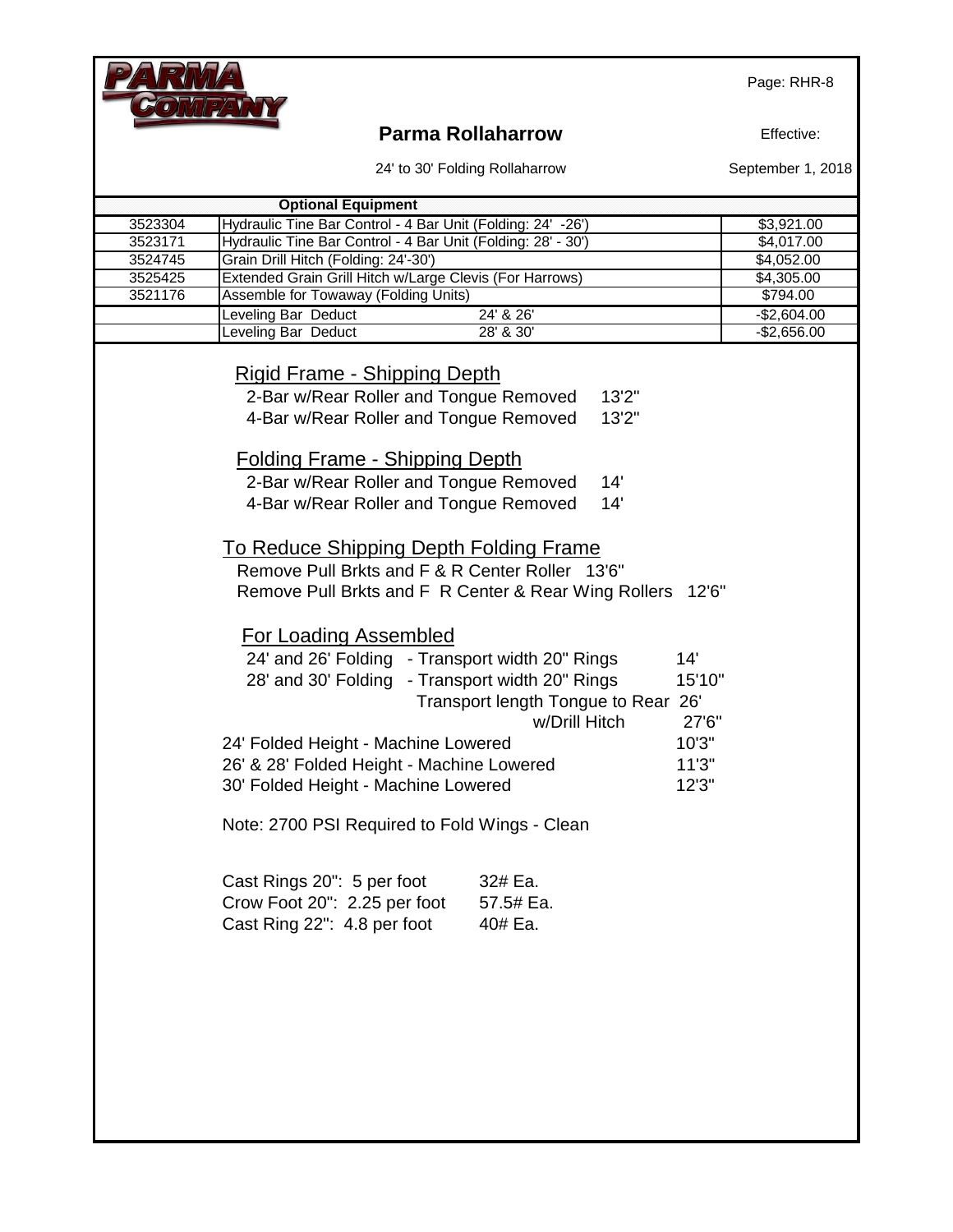

# **Parma Rollaharrow**

Effective:

|  |  | 24' to 30' Folding Rollaharrow |
|--|--|--------------------------------|
|--|--|--------------------------------|

September 1, 2018

| 3523304 | <b>Optional Equipment</b><br>Hydraulic Tine Bar Control - 4 Bar Unit (Folding: 24' -26') |                                     |        | \$3,921.00   |
|---------|------------------------------------------------------------------------------------------|-------------------------------------|--------|--------------|
| 3523171 | Hydraulic Tine Bar Control - 4 Bar Unit (Folding: 28' - 30')                             |                                     |        | \$4,017.00   |
| 3524745 | Grain Drill Hitch (Folding: 24'-30')                                                     |                                     |        | \$4,052.00   |
| 3525425 | Extended Grain Grill Hitch w/Large Clevis (For Harrows)                                  |                                     |        | \$4,305.00   |
| 3521176 | Assemble for Towaway (Folding Units)                                                     |                                     |        | \$794.00     |
|         | Leveling Bar Deduct                                                                      | 24' & 26"                           |        | $-$2,604.00$ |
|         | Leveling Bar Deduct                                                                      | 28' & 30'                           |        | $-$2,656.00$ |
|         |                                                                                          |                                     |        |              |
|         | <b>Rigid Frame - Shipping Depth</b>                                                      |                                     |        |              |
|         | 2-Bar w/Rear Roller and Tongue Removed                                                   |                                     | 13'2"  |              |
|         | 4-Bar w/Rear Roller and Tongue Removed                                                   |                                     | 13'2"  |              |
|         |                                                                                          |                                     |        |              |
|         | <b>Folding Frame - Shipping Depth</b>                                                    |                                     |        |              |
|         | 2-Bar w/Rear Roller and Tongue Removed                                                   |                                     | 14'    |              |
|         |                                                                                          |                                     | 14'    |              |
|         | 4-Bar w/Rear Roller and Tongue Removed                                                   |                                     |        |              |
|         |                                                                                          |                                     |        |              |
|         | To Reduce Shipping Depth Folding Frame                                                   |                                     |        |              |
|         | Remove Pull Brkts and F & R Center Roller 13'6"                                          |                                     |        |              |
|         | Remove Pull Brkts and F R Center & Rear Wing Rollers 12'6"                               |                                     |        |              |
|         |                                                                                          |                                     |        |              |
|         | <b>For Loading Assembled</b>                                                             |                                     |        |              |
|         | 24' and 26' Folding - Transport width 20" Rings                                          |                                     | 14'    |              |
|         | 28' and 30' Folding - Transport width 20" Rings                                          |                                     | 15'10" |              |
|         |                                                                                          | Transport length Tongue to Rear 26' |        |              |
|         |                                                                                          | w/Drill Hitch                       | 27'6"  |              |
|         | 24' Folded Height - Machine Lowered                                                      |                                     | 10'3"  |              |
|         |                                                                                          |                                     | 11'3'' |              |
|         | 26' & 28' Folded Height - Machine Lowered                                                |                                     |        |              |
|         | 30' Folded Height - Machine Lowered                                                      |                                     | 12'3'' |              |
|         | Note: 2700 PSI Required to Fold Wings - Clean                                            |                                     |        |              |
|         |                                                                                          |                                     |        |              |
|         |                                                                                          |                                     |        |              |
|         | Cast Rings 20": 5 per foot                                                               | 32# Ea.                             |        |              |
|         | Crow Foot 20": 2.25 per foot                                                             | 57.5# Ea.                           |        |              |
|         | Cast Ring 22": 4.8 per foot                                                              | 40# Ea.                             |        |              |
|         |                                                                                          |                                     |        |              |
|         |                                                                                          |                                     |        |              |
|         |                                                                                          |                                     |        |              |
|         |                                                                                          |                                     |        |              |
|         |                                                                                          |                                     |        |              |
|         |                                                                                          |                                     |        |              |
|         |                                                                                          |                                     |        |              |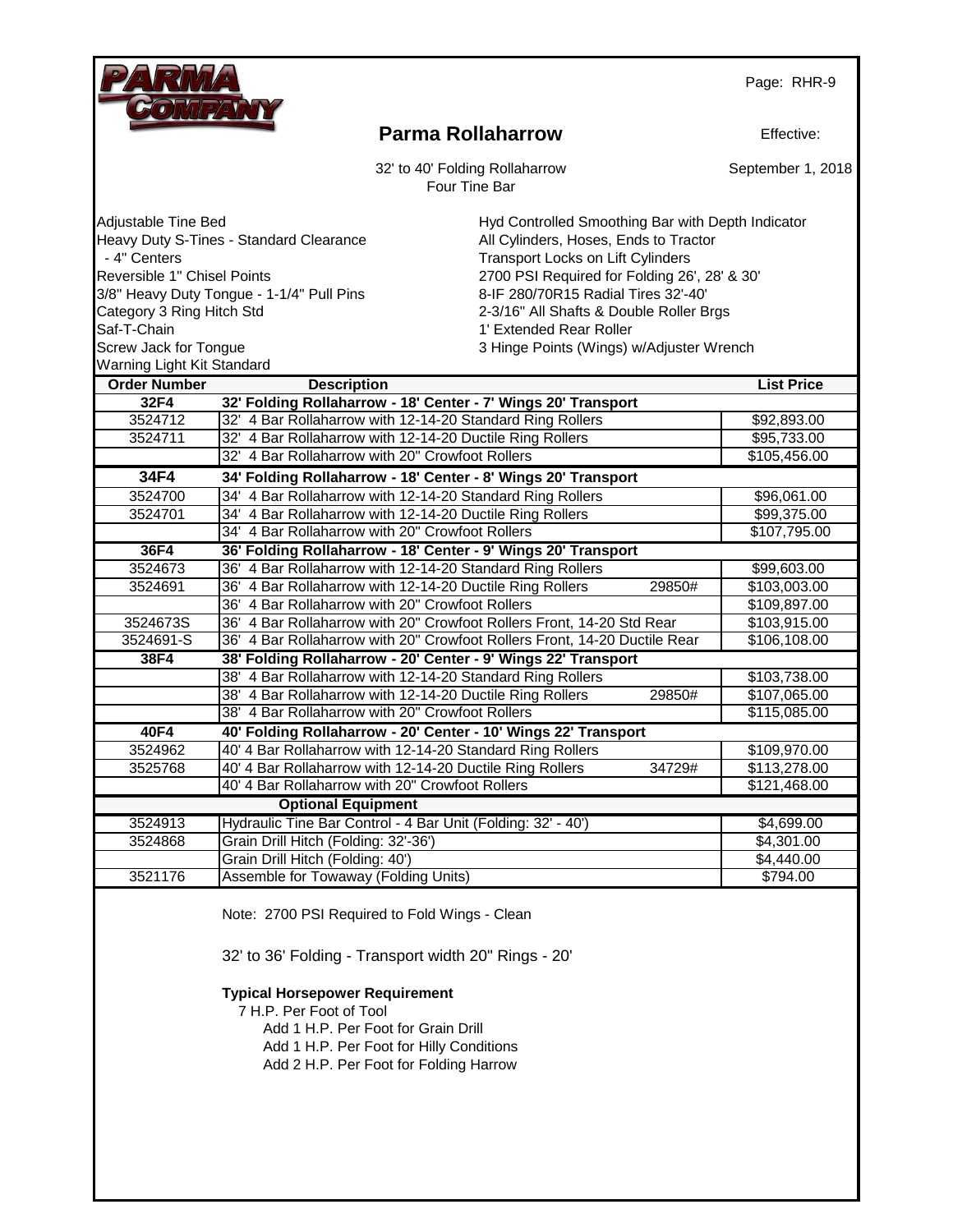|                                                                                                               |                                                                                      |                                                                                                                                                                                                                                    |                                                                                                                                                                                                                                                                   | Page: RHR-9                |
|---------------------------------------------------------------------------------------------------------------|--------------------------------------------------------------------------------------|------------------------------------------------------------------------------------------------------------------------------------------------------------------------------------------------------------------------------------|-------------------------------------------------------------------------------------------------------------------------------------------------------------------------------------------------------------------------------------------------------------------|----------------------------|
|                                                                                                               |                                                                                      | <b>Parma Rollaharrow</b>                                                                                                                                                                                                           |                                                                                                                                                                                                                                                                   | Effective:                 |
|                                                                                                               |                                                                                      | 32' to 40' Folding Rollaharrow<br>Four Tine Bar                                                                                                                                                                                    |                                                                                                                                                                                                                                                                   | September 1, 2018          |
| Adjustable Tine Bed<br>-4" Centers<br>Reversible 1" Chisel Points<br>Category 3 Ring Hitch Std<br>Saf-T-Chain | Heavy Duty S-Tines - Standard Clearance<br>3/8" Heavy Duty Tongue - 1-1/4" Pull Pins | 1' Extended Rear Roller                                                                                                                                                                                                            | Hyd Controlled Smoothing Bar with Depth Indicator<br>All Cylinders, Hoses, Ends to Tractor<br>Transport Locks on Lift Cylinders<br>2700 PSI Required for Folding 26', 28' & 30'<br>8-IF 280/70R15 Radial Tires 32'-40'<br>2-3/16" All Shafts & Double Roller Brgs |                            |
| Screw Jack for Tongue                                                                                         |                                                                                      | 3 Hinge Points (Wings) w/Adjuster Wrench                                                                                                                                                                                           |                                                                                                                                                                                                                                                                   |                            |
| Warning Light Kit Standard                                                                                    |                                                                                      |                                                                                                                                                                                                                                    |                                                                                                                                                                                                                                                                   |                            |
| <b>Order Number</b>                                                                                           | <b>Description</b>                                                                   |                                                                                                                                                                                                                                    |                                                                                                                                                                                                                                                                   | <b>List Price</b>          |
| 32F4                                                                                                          |                                                                                      | 32' Folding Rollaharrow - 18' Center - 7' Wings 20' Transport                                                                                                                                                                      |                                                                                                                                                                                                                                                                   |                            |
| 3524712<br>3524711                                                                                            |                                                                                      | 32' 4 Bar Rollaharrow with 12-14-20 Standard Ring Rollers<br>32' 4 Bar Rollaharrow with 12-14-20 Ductile Ring Rollers                                                                                                              |                                                                                                                                                                                                                                                                   | \$92,893.00<br>\$95,733.00 |
|                                                                                                               |                                                                                      | 32' 4 Bar Rollaharrow with 20" Crowfoot Rollers                                                                                                                                                                                    |                                                                                                                                                                                                                                                                   | \$105,456.00               |
| 34F4                                                                                                          |                                                                                      |                                                                                                                                                                                                                                    |                                                                                                                                                                                                                                                                   |                            |
| 3524700                                                                                                       |                                                                                      | 34' Folding Rollaharrow - 18' Center - 8' Wings 20' Transport<br>34' 4 Bar Rollaharrow with 12-14-20 Standard Ring Rollers                                                                                                         |                                                                                                                                                                                                                                                                   | \$96,061.00                |
| 3524701                                                                                                       |                                                                                      | 34' 4 Bar Rollaharrow with 12-14-20 Ductile Ring Rollers                                                                                                                                                                           |                                                                                                                                                                                                                                                                   | \$99,375.00                |
|                                                                                                               |                                                                                      | 34' 4 Bar Rollaharrow with 20" Crowfoot Rollers                                                                                                                                                                                    |                                                                                                                                                                                                                                                                   | \$107,795.00               |
| 36F4                                                                                                          |                                                                                      | 36' Folding Rollaharrow - 18' Center - 9' Wings 20' Transport                                                                                                                                                                      |                                                                                                                                                                                                                                                                   |                            |
| 3524673                                                                                                       |                                                                                      | 36' 4 Bar Rollaharrow with 12-14-20 Standard Ring Rollers                                                                                                                                                                          |                                                                                                                                                                                                                                                                   | \$99,603.00                |
| 3524691                                                                                                       |                                                                                      | 36' 4 Bar Rollaharrow with 12-14-20 Ductile Ring Rollers                                                                                                                                                                           | 29850#                                                                                                                                                                                                                                                            | \$103,003.00               |
|                                                                                                               |                                                                                      | 36' 4 Bar Rollaharrow with 20" Crowfoot Rollers                                                                                                                                                                                    |                                                                                                                                                                                                                                                                   | \$109,897.00               |
| 3524673S                                                                                                      |                                                                                      | 36' 4 Bar Rollaharrow with 20" Crowfoot Rollers Front, 14-20 Std Rear                                                                                                                                                              |                                                                                                                                                                                                                                                                   | \$103,915.00               |
| 3524691-S                                                                                                     |                                                                                      | 36' 4 Bar Rollaharrow with 20" Crowfoot Rollers Front, 14-20 Ductile Rear                                                                                                                                                          |                                                                                                                                                                                                                                                                   | \$106,108.00               |
| 38F4                                                                                                          |                                                                                      | 38' Folding Rollaharrow - 20' Center - 9' Wings 22' Transport                                                                                                                                                                      |                                                                                                                                                                                                                                                                   |                            |
|                                                                                                               |                                                                                      | 38' 4 Bar Rollaharrow with 12-14-20 Standard Ring Rollers                                                                                                                                                                          |                                                                                                                                                                                                                                                                   | \$103,738.00               |
|                                                                                                               |                                                                                      | 38' 4 Bar Rollaharrow with 12-14-20 Ductile Ring Rollers                                                                                                                                                                           | 29850#                                                                                                                                                                                                                                                            | \$107,065.00               |
|                                                                                                               |                                                                                      | 38' 4 Bar Rollaharrow with 20" Crowfoot Rollers                                                                                                                                                                                    |                                                                                                                                                                                                                                                                   | \$115,085.00               |
| 40F4                                                                                                          |                                                                                      | 40' Folding Rollaharrow - 20' Center - 10' Wings 22' Transport                                                                                                                                                                     |                                                                                                                                                                                                                                                                   |                            |
| 3524962                                                                                                       |                                                                                      | 40' 4 Bar Rollaharrow with 12-14-20 Standard Ring Rollers                                                                                                                                                                          |                                                                                                                                                                                                                                                                   | \$109,970.00               |
| 3525768                                                                                                       |                                                                                      | 40' 4 Bar Rollaharrow with 12-14-20 Ductile Ring Rollers                                                                                                                                                                           | 34729#                                                                                                                                                                                                                                                            | \$113,278.00               |
|                                                                                                               |                                                                                      | 40' 4 Bar Rollaharrow with 20" Crowfoot Rollers                                                                                                                                                                                    |                                                                                                                                                                                                                                                                   | \$121,468.00               |
|                                                                                                               | <b>Optional Equipment</b>                                                            |                                                                                                                                                                                                                                    |                                                                                                                                                                                                                                                                   |                            |
| 3524913                                                                                                       |                                                                                      | Hydraulic Tine Bar Control - 4 Bar Unit (Folding: 32' - 40')                                                                                                                                                                       |                                                                                                                                                                                                                                                                   | \$4,699.00                 |
| 3524868                                                                                                       | Grain Drill Hitch (Folding: 32'-36')                                                 |                                                                                                                                                                                                                                    |                                                                                                                                                                                                                                                                   | \$4,301.00                 |
|                                                                                                               | Grain Drill Hitch (Folding: 40')                                                     |                                                                                                                                                                                                                                    |                                                                                                                                                                                                                                                                   | \$4,440.00                 |
| 3521176                                                                                                       | Assemble for Towaway (Folding Units)                                                 |                                                                                                                                                                                                                                    |                                                                                                                                                                                                                                                                   | \$794.00                   |
|                                                                                                               | <b>Typical Horsepower Requirement</b><br>7 H.P. Per Foot of Tool                     | Note: 2700 PSI Required to Fold Wings - Clean<br>32' to 36' Folding - Transport width 20" Rings - 20'<br>Add 1 H.P. Per Foot for Grain Drill<br>Add 1 H.P. Per Foot for Hilly Conditions<br>Add 2 H.P. Per Foot for Folding Harrow |                                                                                                                                                                                                                                                                   |                            |
|                                                                                                               |                                                                                      |                                                                                                                                                                                                                                    |                                                                                                                                                                                                                                                                   |                            |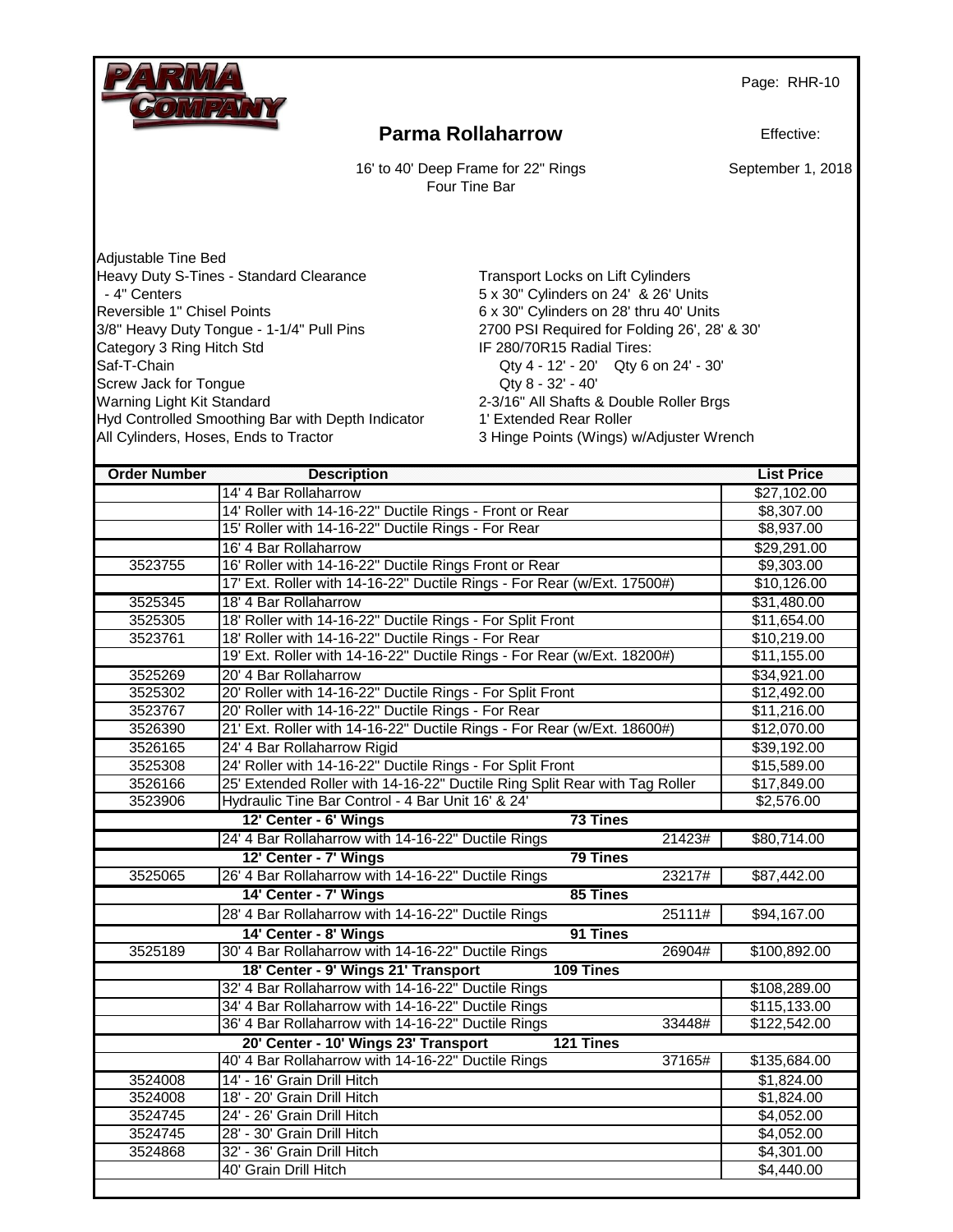

## **Parma Rollaharrow**

Effective:

16' to 40' Deep Frame for 22" Rings Four Tine Bar

September 1, 2018

Adjustable Tine Bed Heavy Duty S-Tines - Standard Clearance<br>4" Centers - 4" Centers - 4" Centers - 4" Centers on 24' & 26' Un Reversible 1" Chisel Points **6 x 30"** Cylinders on 28' thru 40' Units 3/8" Heavy Duty Tongue - 1-1/4" Pull Pins 2700 PSI Required for Folding 26', 28' & 30'<br>Category 3 Ring Hitch Std Caregory 3 Ring Hitch Std Saf-T-Chain Qty 4 - 12' - 20' Qty 6 on 24' - 30' Screw Jack for Tongue **Contract Contract Contract Contract Contract Contract Contract Contract Contract Contract Contract Contract Contract Contract Contract Contract Contract Contract Contract Contract Contract Contract C** Warning Light Kit Standard 2-3/16" All Shafts & Double Roller Brgs Hyd Controlled Smoothing Bar with Depth Indicator 1' Extended Rear Roller<br>All Cylinders, Hoses, Ends to Tractor 3 Hinge Points (Wings) v

 $5 \times 30$ " Cylinders on 24' & 26' Units IF 280/70R15 Radial Tires:

3 Hinge Points (Wings) w/Adjuster Wrench

| <b>Order Number</b> | <b>Description</b>                                                         | <b>List Price</b> |
|---------------------|----------------------------------------------------------------------------|-------------------|
|                     | 14' 4 Bar Rollaharrow                                                      | \$27,102.00       |
|                     | 14' Roller with 14-16-22" Ductile Rings - Front or Rear                    | \$8,307.00        |
|                     | 15' Roller with 14-16-22" Ductile Rings - For Rear                         | \$8,937.00        |
|                     | 16' 4 Bar Rollaharrow                                                      | \$29,291.00       |
| 3523755             | 16' Roller with 14-16-22" Ductile Rings Front or Rear                      | \$9,303.00        |
|                     | 17' Ext. Roller with 14-16-22" Ductile Rings - For Rear (w/Ext. 17500#)    | \$10,126.00       |
| 3525345             | 18' 4 Bar Rollaharrow                                                      | \$31,480.00       |
| 3525305             | 18' Roller with 14-16-22" Ductile Rings - For Split Front                  | \$11,654.00       |
| 3523761             | 18' Roller with 14-16-22" Ductile Rings - For Rear                         | \$10,219.00       |
|                     | 19' Ext. Roller with 14-16-22" Ductile Rings - For Rear (w/Ext. 18200#)    | \$11,155.00       |
| 3525269             | 20' 4 Bar Rollaharrow                                                      | \$34,921.00       |
| 3525302             | 20' Roller with 14-16-22" Ductile Rings - For Split Front                  | \$12,492.00       |
| 3523767             | 20' Roller with 14-16-22" Ductile Rings - For Rear                         | \$11,216.00       |
| 3526390             | 21' Ext. Roller with 14-16-22" Ductile Rings - For Rear (w/Ext. 18600#)    | \$12,070.00       |
| 3526165             | 24' 4 Bar Rollaharrow Rigid                                                | \$39,192.00       |
| 3525308             | 24' Roller with 14-16-22" Ductile Rings - For Split Front                  | \$15,589.00       |
| 3526166             | 25' Extended Roller with 14-16-22" Ductile Ring Split Rear with Tag Roller | \$17,849.00       |
| 3523906             | Hydraulic Tine Bar Control - 4 Bar Unit 16' & 24'                          | \$2,576.00        |
|                     | 12' Center - 6' Wings<br>73 Tines                                          |                   |
|                     | 24' 4 Bar Rollaharrow with 14-16-22" Ductile Rings<br>21423#               | \$80,714.00       |
|                     | <b>79 Tines</b><br>12' Center - 7' Wings                                   |                   |
| 3525065             | 26' 4 Bar Rollaharrow with 14-16-22" Ductile Rings<br>23217#               | \$87,442.00       |
|                     | 14' Center - 7' Wings<br>85 Tines                                          |                   |
|                     | 28' 4 Bar Rollaharrow with 14-16-22" Ductile Rings<br>25111#               | \$94,167.00       |
|                     | 14' Center - 8' Wings<br>91 Tines                                          |                   |
| 3525189             | 30' 4 Bar Rollaharrow with 14-16-22" Ductile Rings<br>26904#               | \$100,892.00      |
|                     | 18' Center - 9' Wings 21' Transport<br>109 Tines                           |                   |
|                     | 32' 4 Bar Rollaharrow with 14-16-22" Ductile Rings                         | \$108,289.00      |
|                     | 34' 4 Bar Rollaharrow with 14-16-22" Ductile Rings                         | \$115,133.00      |
|                     | 36' 4 Bar Rollaharrow with 14-16-22" Ductile Rings<br>33448#               | \$122,542.00      |
|                     | 121 Tines<br>20' Center - 10' Wings 23' Transport                          |                   |
|                     | 40' 4 Bar Rollaharrow with 14-16-22" Ductile Rings<br>37165#               | \$135,684.00      |
| 3524008             | 14' - 16' Grain Drill Hitch                                                | \$1,824.00        |
| 3524008             | 18' - 20' Grain Drill Hitch                                                | \$1,824.00        |
| 3524745             | 24' - 26' Grain Drill Hitch                                                | \$4,052.00        |
| 3524745             | 28' - 30' Grain Drill Hitch                                                | \$4,052.00        |
| 3524868             | 32' - 36' Grain Drill Hitch                                                | \$4,301.00        |
|                     | 40' Grain Drill Hitch                                                      | \$4,440.00        |
|                     |                                                                            |                   |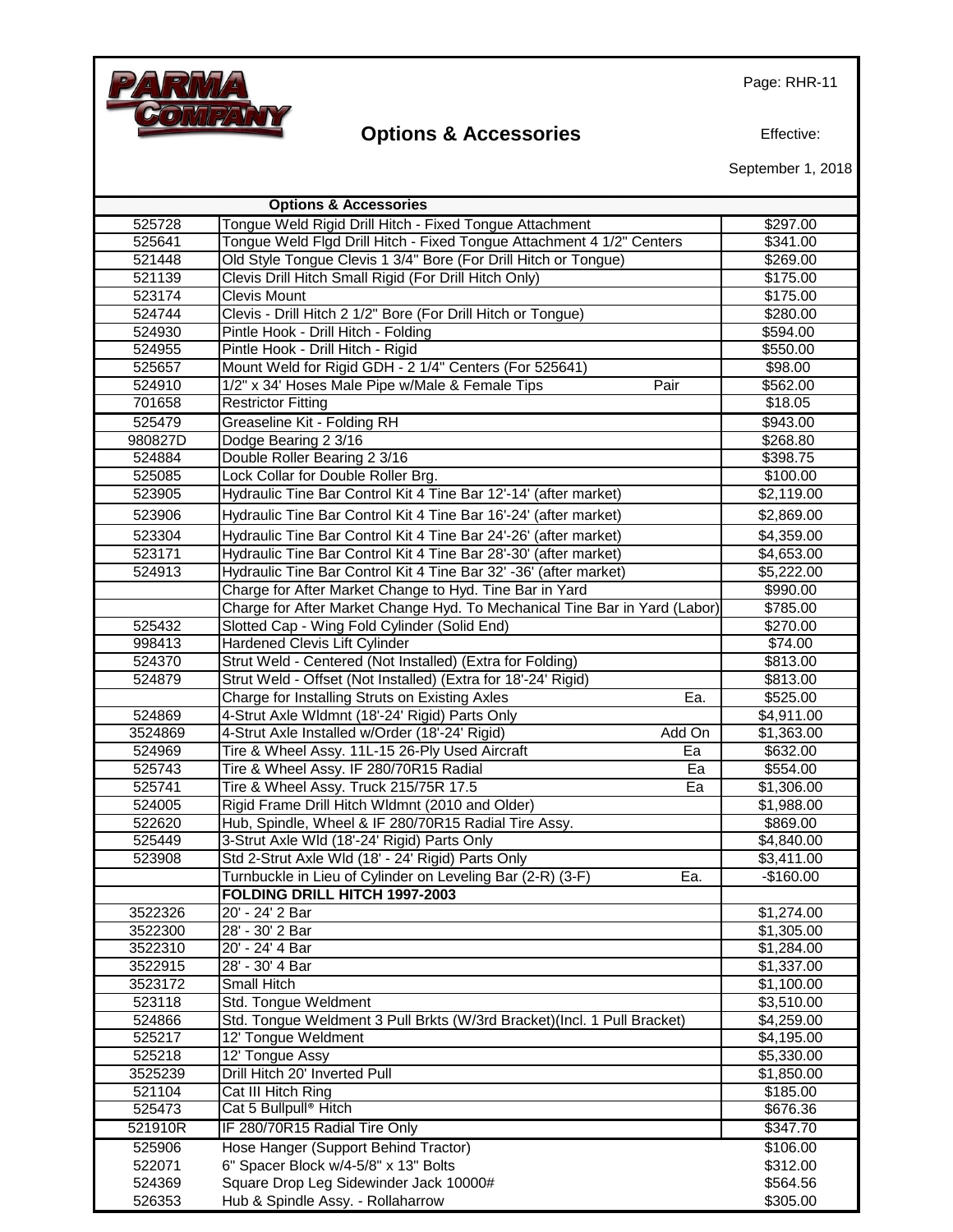

# **Options & Accessories**

Effective:

Page: RHR-11

September 1, 2018

|         | <b>Options &amp; Accessories</b>                                           |                   |
|---------|----------------------------------------------------------------------------|-------------------|
| 525728  | Tongue Weld Rigid Drill Hitch - Fixed Tongue Attachment                    | \$297.00          |
| 525641  | Tongue Weld Flgd Drill Hitch - Fixed Tongue Attachment 4 1/2" Centers      | \$341.00          |
| 521448  | Old Style Tongue Clevis 1 3/4" Bore (For Drill Hitch or Tongue)            | \$269.00          |
| 521139  | Clevis Drill Hitch Small Rigid (For Drill Hitch Only)                      | \$175.00          |
| 523174  | Clevis Mount                                                               | \$175.00          |
| 524744  | Clevis - Drill Hitch 2 1/2" Bore (For Drill Hitch or Tongue)               | \$280.00          |
| 524930  | Pintle Hook - Drill Hitch - Folding                                        | \$594.00          |
| 524955  | Pintle Hook - Drill Hitch - Rigid                                          | \$550.00          |
| 525657  | Mount Weld for Rigid GDH - 2 1/4" Centers (For 525641)                     | \$98.00           |
| 524910  | 1/2" x 34' Hoses Male Pipe w/Male & Female Tips<br>Pair                    | \$562.00          |
| 701658  | <b>Restrictor Fitting</b>                                                  | \$18.05           |
| 525479  | Greaseline Kit - Folding RH                                                | \$943.00          |
| 980827D | Dodge Bearing 2 3/16                                                       | \$268.80          |
| 524884  | Double Roller Bearing 2 3/16                                               | \$398.75          |
| 525085  | Lock Collar for Double Roller Brg.                                         | \$100.00          |
| 523905  | Hydraulic Tine Bar Control Kit 4 Tine Bar 12'-14' (after market)           | \$2,119.00        |
|         |                                                                            |                   |
| 523906  | Hydraulic Tine Bar Control Kit 4 Tine Bar 16'-24' (after market)           | \$2,869.00        |
| 523304  | Hydraulic Tine Bar Control Kit 4 Tine Bar 24'-26' (after market)           | \$4,359.00        |
| 523171  | Hydraulic Tine Bar Control Kit 4 Tine Bar 28'-30' (after market)           | \$4,653.00        |
| 524913  | Hydraulic Tine Bar Control Kit 4 Tine Bar 32' -36' (after market)          | \$5,222.00        |
|         | Charge for After Market Change to Hyd. Tine Bar in Yard                    | \$990.00          |
|         | Charge for After Market Change Hyd. To Mechanical Tine Bar in Yard (Labor) | \$785.00          |
| 525432  | Slotted Cap - Wing Fold Cylinder (Solid End)                               | \$270.00          |
| 998413  | Hardened Clevis Lift Cylinder                                              | \$74.00           |
| 524370  | Strut Weld - Centered (Not Installed) (Extra for Folding)                  | \$813.00          |
| 524879  | Strut Weld - Offset (Not Installed) (Extra for 18'-24' Rigid)              | \$813.00          |
|         | Charge for Installing Struts on Existing Axles<br>Ea.                      | \$525.00          |
| 524869  | 4-Strut Axle Wldmnt (18'-24' Rigid) Parts Only                             | \$4,911.00        |
| 3524869 | 4-Strut Axle Installed w/Order (18'-24' Rigid)<br>Add On                   | \$1,363.00        |
| 524969  | Tire & Wheel Assy. 11L-15 26-Ply Used Aircraft<br>Ea                       | \$632.00          |
| 525743  | Tire & Wheel Assy. IF 280/70R15 Radial<br>Ea                               | \$554.00          |
| 525741  | Tire & Wheel Assy. Truck 215/75R 17.5<br>Ea                                | \$1,306.00        |
| 524005  | Rigid Frame Drill Hitch Wldmnt (2010 and Older)                            | \$1,988.00        |
| 522620  | Hub, Spindle, Wheel & IF 280/70R15 Radial Tire Assy.                       | \$869.00          |
| 525449  | 3-Strut Axle Wld (18'-24' Rigid) Parts Only                                | \$4,840.00        |
| 523908  | Std 2-Strut Axle Wld (18' - 24' Rigid) Parts Only                          | \$3,411.00        |
|         | Turnbuckle in Lieu of Cylinder on Leveling Bar (2-R) (3-F)<br>Ea.          | $-$160.00$        |
|         | <b>FOLDING DRILL HITCH 1997-2003</b>                                       |                   |
| 3522326 | 20' - 24' 2 Bar                                                            | \$1,274.00        |
| 3522300 | 28' - 30' 2 Bar                                                            | \$1,305.00        |
| 3522310 | 20' - 24' 4 Bar                                                            | \$1,284.00        |
| 3522915 | 28' - 30' 4 Bar                                                            | \$1,337.00        |
| 3523172 | Small Hitch                                                                | \$1,100.00        |
| 523118  | Std. Tongue Weldment                                                       | \$3,510.00        |
| 524866  | Std. Tongue Weldment 3 Pull Brkts (W/3rd Bracket)(Incl. 1 Pull Bracket)    | \$4,259.00        |
| 525217  | 12' Tongue Weldment                                                        | $\sqrt{4,195.00}$ |
| 525218  | 12' Tongue Assy                                                            | \$5,330.00        |
| 3525239 | Drill Hitch 20' Inverted Pull                                              | \$1,850.00        |
| 521104  | Cat III Hitch Ring                                                         | \$185.00          |
| 525473  | Cat 5 Bullpull <sup>®</sup> Hitch                                          | \$676.36          |
| 521910R | IF 280/70R15 Radial Tire Only                                              | \$347.70          |
| 525906  | Hose Hanger (Support Behind Tractor)                                       | \$106.00          |
| 522071  | 6" Spacer Block w/4-5/8" x 13" Bolts                                       | \$312.00          |
| 524369  | Square Drop Leg Sidewinder Jack 10000#                                     | \$564.56          |
| 526353  | Hub & Spindle Assy. - Rollaharrow                                          | \$305.00          |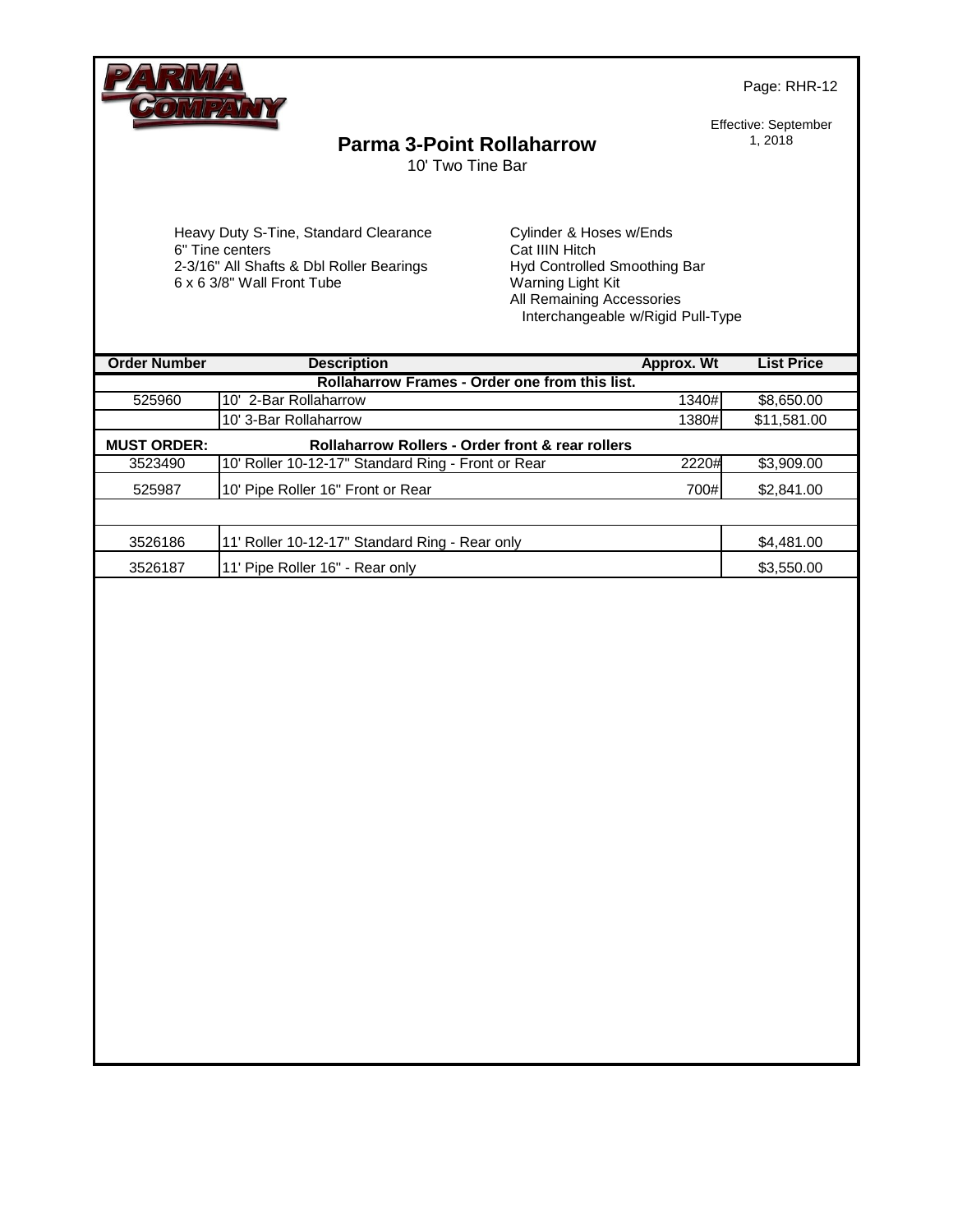

# **Parma 3-Point Rollaharrow**

Effective: September 1, 2018

10' Two Tine Bar

Heavy Duty S-Tine, Standard Clearance 6" Tine centers 2-3/16" All Shafts & Dbl Roller Bearings 6 x 6 3/8" Wall Front Tube

Cylinder & Hoses w/Ends Cat IIIN Hitch Hyd Controlled Smoothing Bar Warning Light Kit All Remaining Accessories Interchangeable w/Rigid Pull-Type

| <b>Order Number</b> | <b>Description</b>                                          | Approx. Wt | <b>List Price</b> |
|---------------------|-------------------------------------------------------------|------------|-------------------|
|                     | Rollaharrow Frames - Order one from this list.              |            |                   |
| 525960              | 10' 2-Bar Rollaharrow                                       | 1340#      | \$8,650.00        |
|                     | 10' 3-Bar Rollaharrow                                       | 1380#      | \$11,581.00       |
| <b>MUST ORDER:</b>  | <b>Rollaharrow Rollers - Order front &amp; rear rollers</b> |            |                   |
| 3523490             | 10' Roller 10-12-17" Standard Ring - Front or Rear          | 2220#      | \$3,909.00        |
| 525987              | 10' Pipe Roller 16" Front or Rear                           | 700#       | \$2,841.00        |
|                     |                                                             |            |                   |
| 0.000000            | A4! Delley 40, 40, 47" Ctenderd Dinn. Deex cuby             |            | 0.1010            |

| 3526186 | Rina -<br>17" Standard<br>$\begin{array}{c} 1 & 1 \\ 1 & 1 \end{array}$<br>$\sqrt{2}$<br>10∹<br>Rear only<br>Roller | 1.00<br>\$4<br>.481 |
|---------|---------------------------------------------------------------------------------------------------------------------|---------------------|
| 3526187 | . 16"<br>Roller<br>Pipe<br>144'<br>Rear only<br>$\sim$                                                              | ሱሳ<br>.550.00<br>აა |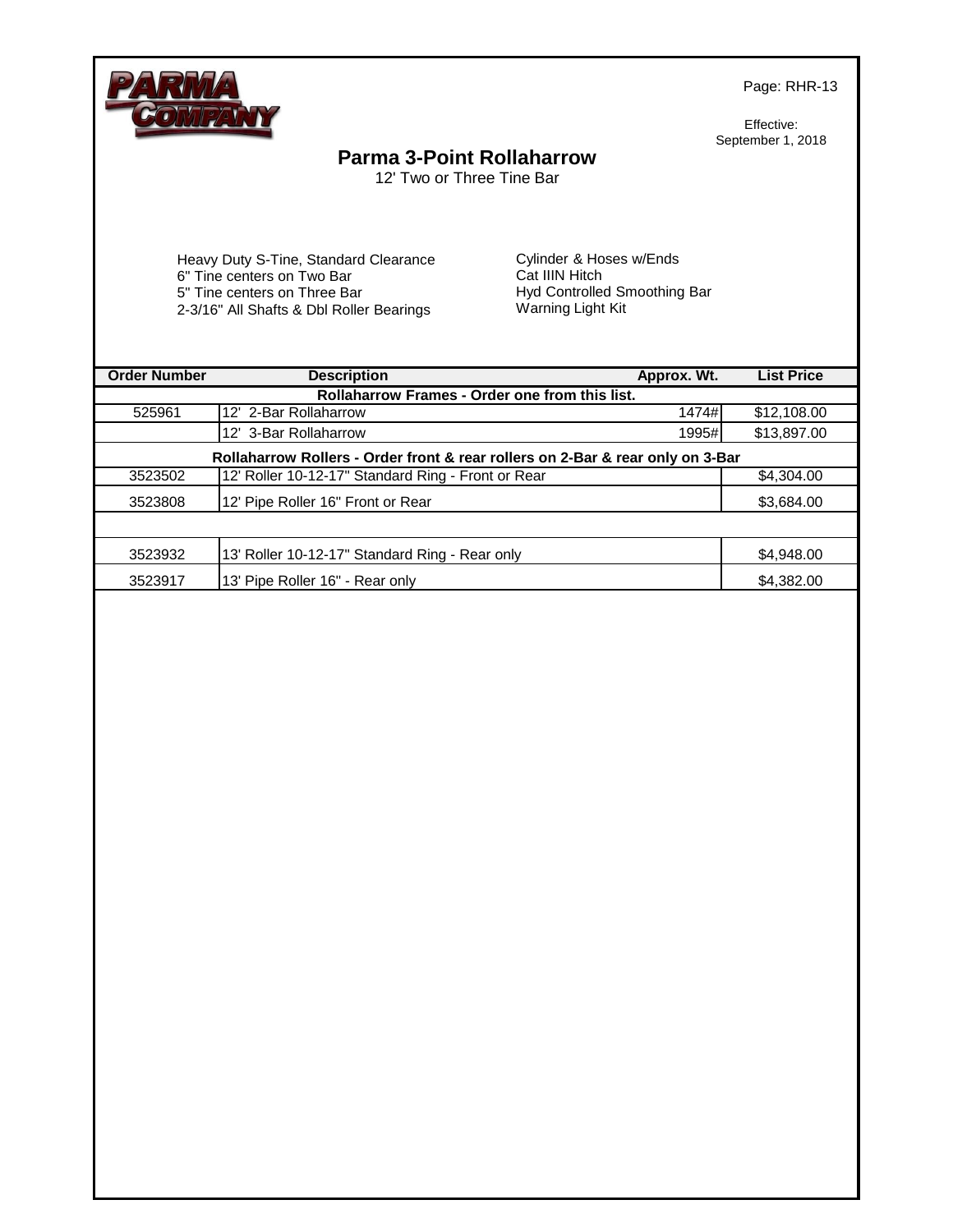

Effective: September 1, 2018

## **Parma 3-Point Rollaharrow**

12' Two or Three Tine Bar

Heavy Duty S-Tine, Standard Clearance 6" Tine centers on Two Bar 5" Tine centers on Three Bar 2-3/16" All Shafts & Dbl Roller Bearings

| <b>Order Number</b> | <b>Description</b>                                                             | Approx. Wt. | <b>List Price</b> |
|---------------------|--------------------------------------------------------------------------------|-------------|-------------------|
|                     | Rollaharrow Frames - Order one from this list.                                 |             |                   |
| 525961              | 12' 2-Bar Rollaharrow                                                          | 1474#       | \$12,108.00       |
|                     | 12' 3-Bar Rollaharrow                                                          | 1995#       | \$13,897.00       |
|                     | Rollaharrow Rollers - Order front & rear rollers on 2-Bar & rear only on 3-Bar |             |                   |
| 3523502             | 12' Roller 10-12-17" Standard Ring - Front or Rear                             |             | \$4,304.00        |
| 3523808             | 12' Pipe Roller 16" Front or Rear                                              |             | \$3,684.00        |
|                     |                                                                                |             |                   |
| 3523932             | 13' Roller 10-12-17" Standard Ring - Rear only                                 |             | \$4,948.00        |
| 3523917             | 13' Pipe Roller 16" - Rear only                                                |             | \$4,382.00        |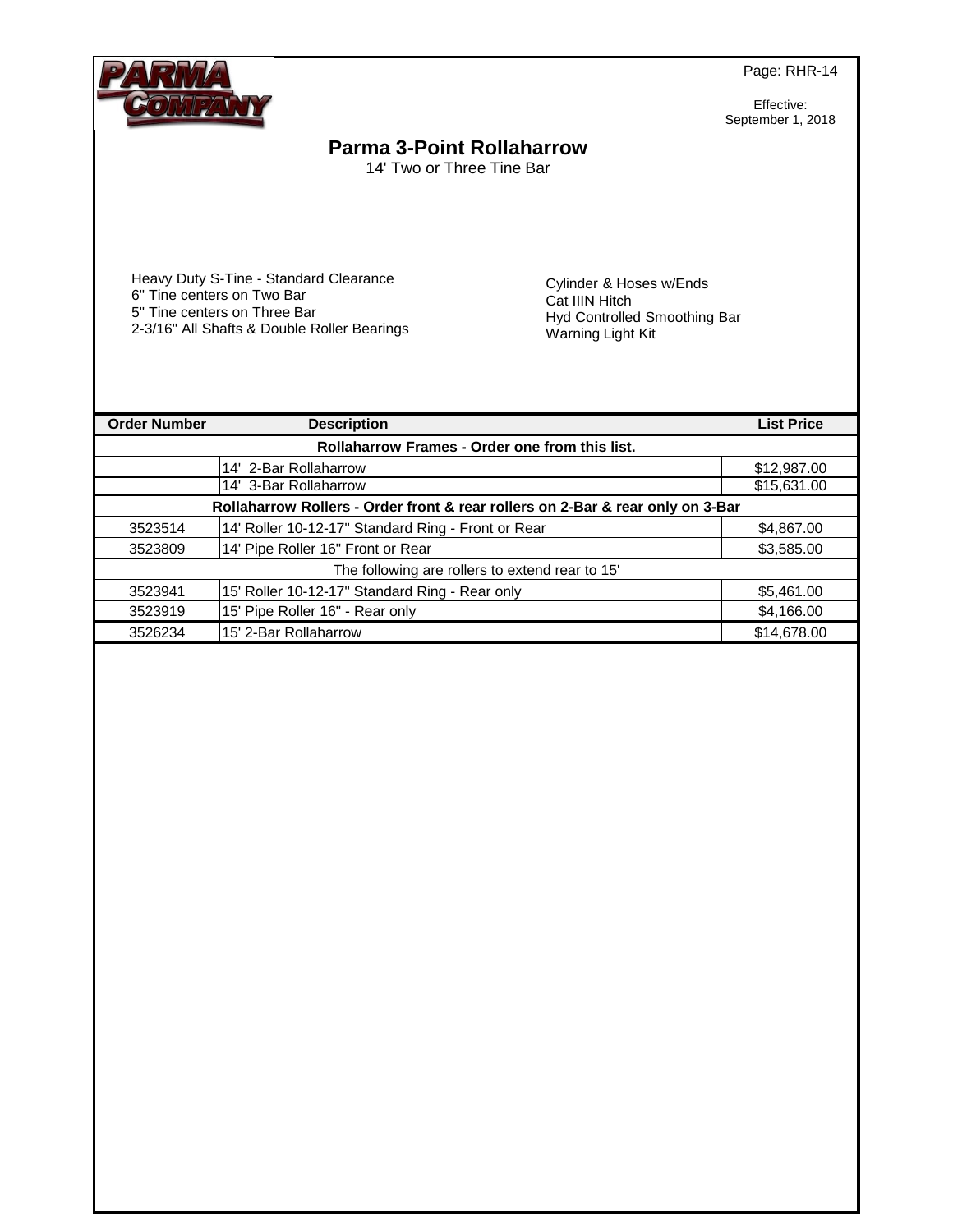

# **Parma 3-Point Rollaharrow**

14' Two or Three Tine Bar

Heavy Duty S-Tine - Standard Clearance 6" Tine centers on Two Bar 5" Tine centers on Three Bar 2-3/16" All Shafts & Double Roller Bearings

| <b>Order Number</b> | <b>Description</b>                                                             | <b>List Price</b> |
|---------------------|--------------------------------------------------------------------------------|-------------------|
|                     | Rollaharrow Frames - Order one from this list.                                 |                   |
|                     | 14' 2-Bar Rollaharrow                                                          | \$12,987.00       |
|                     | 14' 3-Bar Rollaharrow                                                          | \$15,631.00       |
|                     | Rollaharrow Rollers - Order front & rear rollers on 2-Bar & rear only on 3-Bar |                   |
| 3523514             | 14' Roller 10-12-17" Standard Ring - Front or Rear                             | \$4,867.00        |
| 3523809             | 14' Pipe Roller 16" Front or Rear                                              | \$3,585.00        |
|                     | The following are rollers to extend rear to 15'                                |                   |
| 3523941             | 15' Roller 10-12-17" Standard Ring - Rear only                                 | \$5,461.00        |
| 3523919             | 15' Pipe Roller 16" - Rear only                                                | \$4,166.00        |
| 3526234             | 15' 2-Bar Rollaharrow                                                          | \$14,678.00       |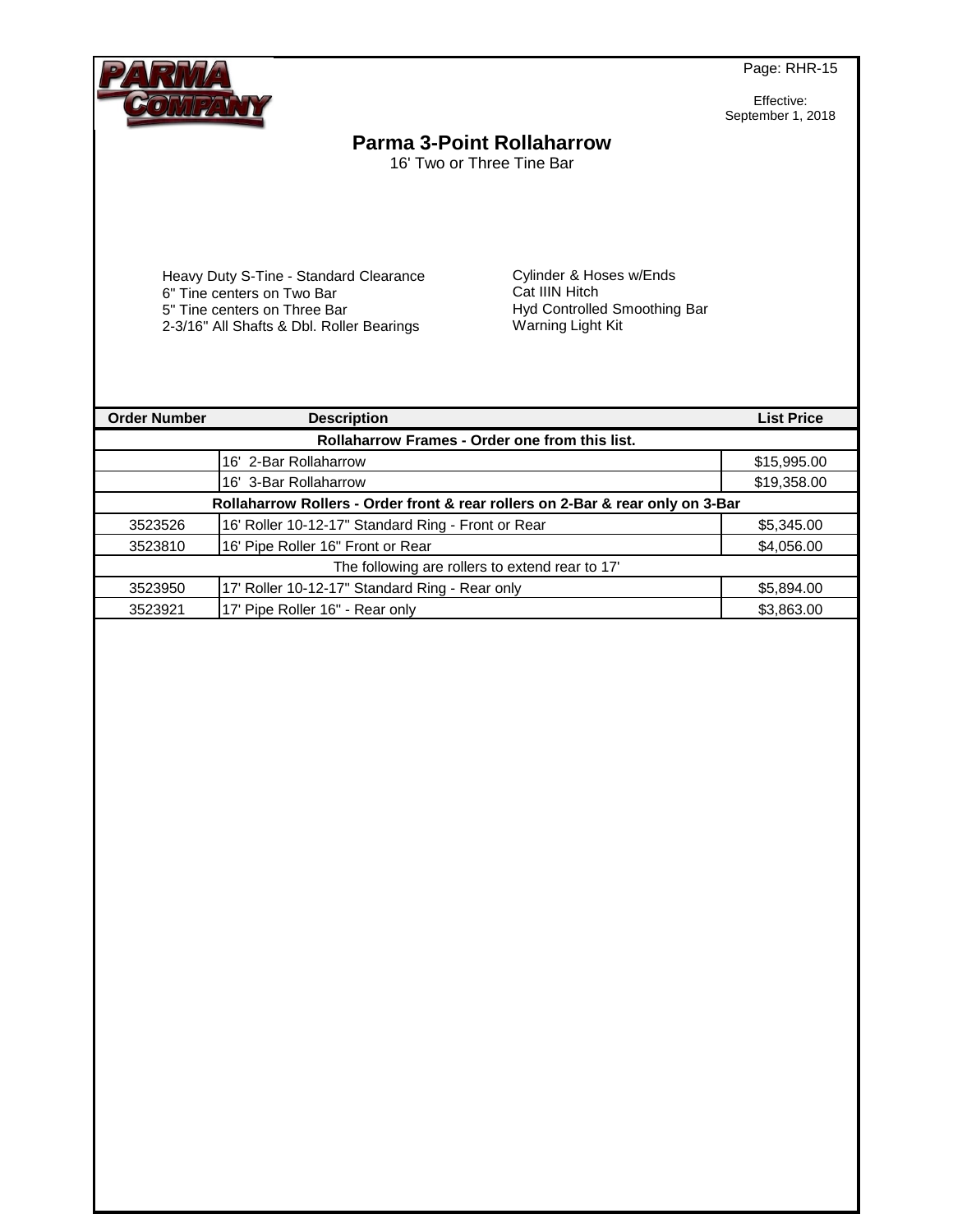

Effective: September 1, 2018

# **Parma 3-Point Rollaharrow**

16' Two or Three Tine Bar

Heavy Duty S-Tine - Standard Clearance 6" Tine centers on Two Bar 5" Tine centers on Three Bar 2-3/16" All Shafts & Dbl. Roller Bearings

| <b>Order Number</b> | <b>Description</b>                                                             | <b>List Price</b> |
|---------------------|--------------------------------------------------------------------------------|-------------------|
|                     | Rollaharrow Frames - Order one from this list.                                 |                   |
|                     | 16' 2-Bar Rollaharrow                                                          | \$15,995.00       |
|                     | 16' 3-Bar Rollaharrow                                                          | \$19,358.00       |
|                     | Rollaharrow Rollers - Order front & rear rollers on 2-Bar & rear only on 3-Bar |                   |
| 3523526             | 16' Roller 10-12-17" Standard Ring - Front or Rear                             | \$5,345.00        |
| 3523810             | 16' Pipe Roller 16" Front or Rear                                              | \$4,056.00        |
|                     | The following are rollers to extend rear to 17'                                |                   |
| 3523950             | 17' Roller 10-12-17" Standard Ring - Rear only                                 | \$5,894.00        |
| 3523921             | 17' Pipe Roller 16" - Rear only                                                | \$3,863.00        |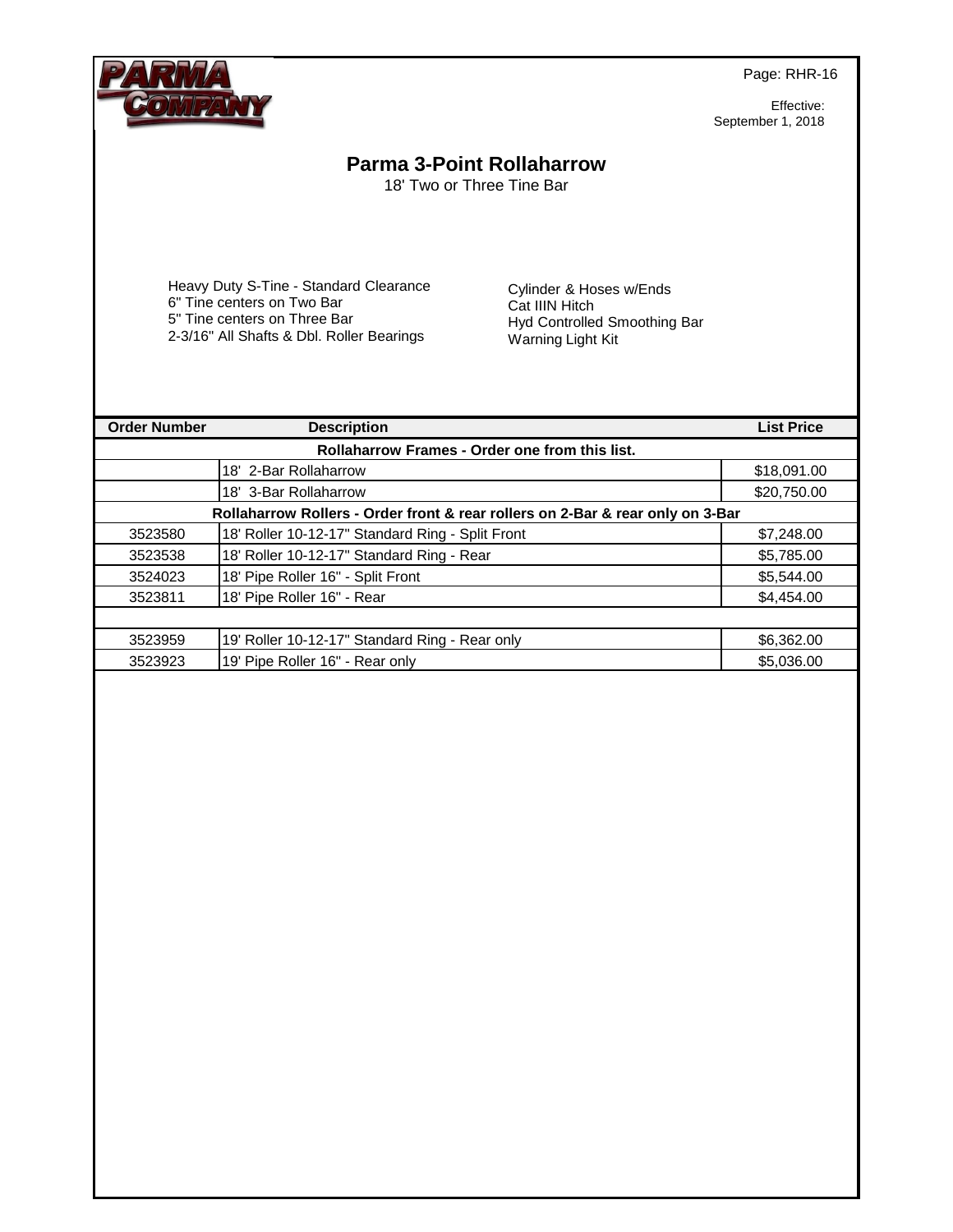

Effective: September 1, 2018

# **Parma 3-Point Rollaharrow**

18' Two or Three Tine Bar

Heavy Duty S-Tine - Standard Clearance 6" Tine centers on Two Bar 5" Tine centers on Three Bar 2-3/16" All Shafts & Dbl. Roller Bearings

| <b>Order Number</b> | <b>Description</b>                                                             | <b>List Price</b> |
|---------------------|--------------------------------------------------------------------------------|-------------------|
|                     | Rollaharrow Frames - Order one from this list.                                 |                   |
|                     | 18' 2-Bar Rollaharrow                                                          | \$18,091.00       |
|                     | 18' 3-Bar Rollaharrow                                                          | \$20,750.00       |
|                     | Rollaharrow Rollers - Order front & rear rollers on 2-Bar & rear only on 3-Bar |                   |
| 3523580             | 18' Roller 10-12-17" Standard Ring - Split Front                               | \$7,248.00        |
| 3523538             | 18' Roller 10-12-17" Standard Ring - Rear                                      | \$5,785.00        |
| 3524023             | 18' Pipe Roller 16" - Split Front                                              | \$5,544.00        |
| 3523811             | 18' Pipe Roller 16" - Rear                                                     | \$4,454.00        |
|                     |                                                                                |                   |
| 3523959             | 19' Roller 10-12-17" Standard Ring - Rear only                                 | \$6,362.00        |
| 3523923             | 19' Pipe Roller 16" - Rear only                                                | \$5,036.00        |
|                     |                                                                                |                   |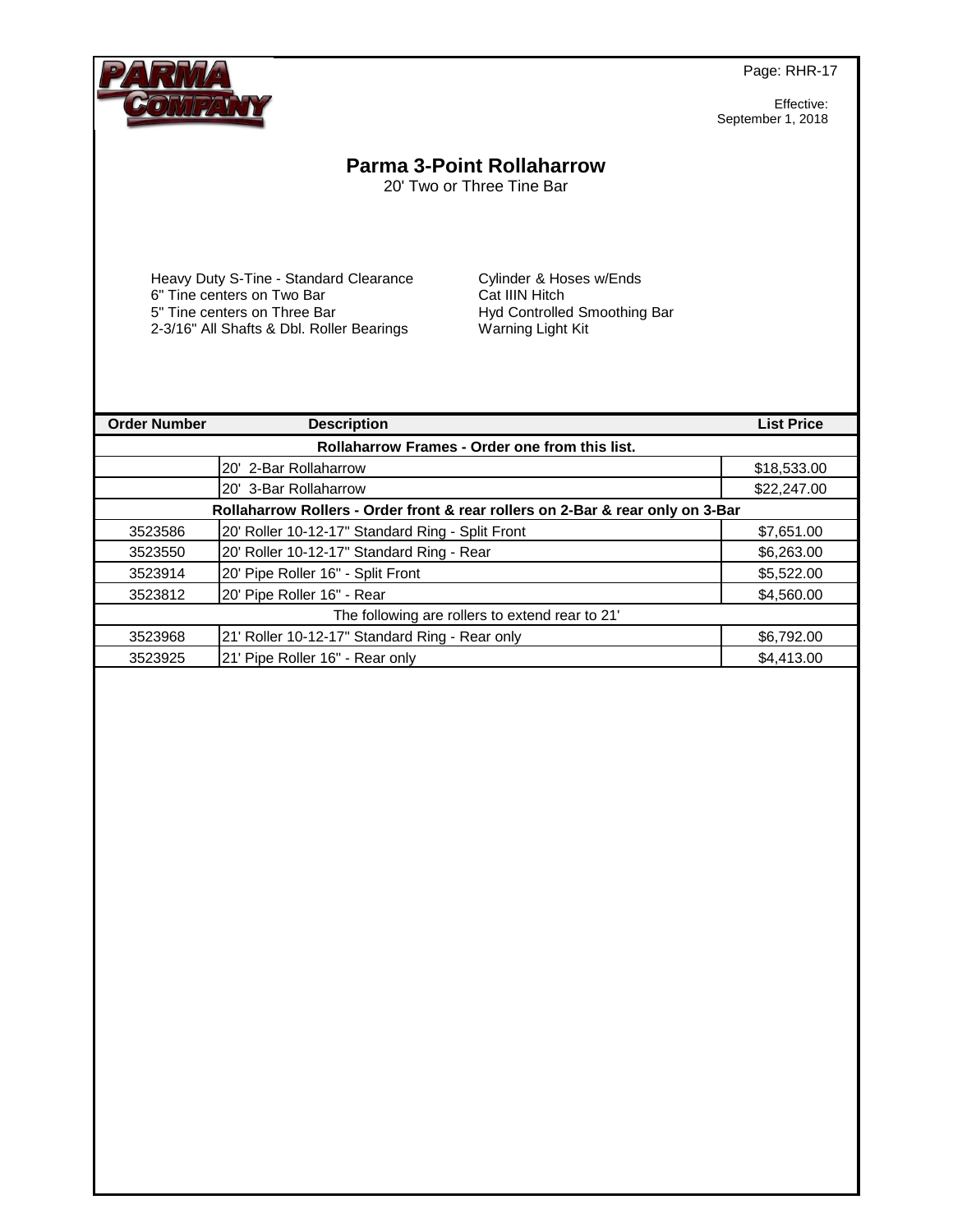

Effective: September 1, 2018

# **Parma 3-Point Rollaharrow**

20' Two or Three Tine Bar

Heavy Duty S-Tine - Standard Clearance 6" Tine centers on Two Bar 5" Tine centers on Three Bar 2-3/16" All Shafts & Dbl. Roller Bearings

| <b>Order Number</b> | <b>Description</b>                                                             | <b>List Price</b> |
|---------------------|--------------------------------------------------------------------------------|-------------------|
|                     | Rollaharrow Frames - Order one from this list.                                 |                   |
|                     | 20' 2-Bar Rollaharrow                                                          | \$18,533.00       |
|                     | 20' 3-Bar Rollaharrow                                                          | \$22,247.00       |
|                     | Rollaharrow Rollers - Order front & rear rollers on 2-Bar & rear only on 3-Bar |                   |
| 3523586             | 20' Roller 10-12-17" Standard Ring - Split Front                               | \$7,651.00        |
| 3523550             | 20' Roller 10-12-17" Standard Ring - Rear                                      | \$6,263.00        |
| 3523914             | 20' Pipe Roller 16" - Split Front                                              | \$5,522.00        |
| 3523812             | 20' Pipe Roller 16" - Rear                                                     | \$4,560.00        |
|                     | The following are rollers to extend rear to 21'                                |                   |
| 3523968             | 21' Roller 10-12-17" Standard Ring - Rear only                                 | \$6,792.00        |
| 3523925             | 21' Pipe Roller 16" - Rear only                                                | \$4,413.00        |